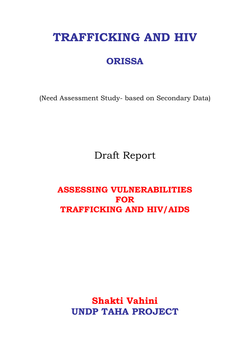# **TRAFFICKING AND HIV**

## **ORISSA**

(Need Assessment Study- based on Secondary Data)

Draft Report

### **ASSESSING VULNERABILITIES FOR TRAFFICKING AND HIV/AIDS**

## **Shakti Vahini UNDP TAHA PROJECT**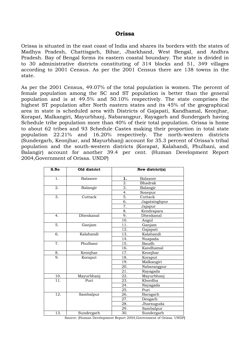#### **Orissa**

Orissa is situated in the east coast of India and shares its borders with the states of Madhya Pradesh, Chattisgarh, Bihar, Jharkhand, West Bengal, and Andhra Pradesh. Bay of Bengal forms its eastern coastal boundary. The state is divided in to 30 administrative districts constituting of 314 blocks and 51, 349 villages according to 2001 Census. As per the 2001 Census there are 138 towns in the state.

As per the 2001 Census, 49.07% of the total population is women. The percent of female population among the SC and ST population is better than the general population and is at 49.5% and 50.10% respectively. The state comprises the highest ST population after North eastern states and its 45% of the geographical area in state is scheduled area with Districts of Gajapati, Kandhamal, Keonjhar, Korapat, Malkangiri, Mayurbhanj, Nabarangpur, Rayagarh and Sundergarh having Schedule tribe population more than 40% of their total population. Orissa is home to about 62 tribes and 93 Schedule Castes making their proportion in total state population 22.21% and 16.20% respectively. The north-western districts (Sundergarh, Keonjhar, and Mayurbhanj) account for 35.3 percent of Orissa's tribal population and the south-western districts (Korapat, Kalahandi, Phulbani, and Balangir) account for another 39.4 per cent. (Human Development Report 2004,Government of Orissa. UNDP)

| S.No              | Old district     |                   | New district(s) |
|-------------------|------------------|-------------------|-----------------|
| 1.                | <b>Balasore</b>  | 1.                | <b>Balasore</b> |
|                   |                  | 2.                | <b>Bhadrak</b>  |
| 2.                | Balangir         | 3.                | Balangir        |
|                   |                  | 4.                | Sonepur         |
| 3.                | Cuttack          | 5.                | Cuttack         |
|                   |                  | 6.                | Jagatsinghpur   |
|                   |                  | 7.                | Jajapur         |
|                   |                  | 8.                | Kendrapara      |
| 4.                | <b>Dhenkanal</b> | 9.                | Dhenkanal       |
|                   |                  | 10.               | Angul           |
| $\overline{5}$ .  | Ganjam           | 11.               | Ganjam          |
|                   |                  | 12.               | Gajapati        |
| 6.                | Kalahandi        | $\overline{13}$ . | Kalahandi       |
|                   |                  | 14.               | Nuapada         |
| 7.                | Phulbani         | 15.               | Baudh           |
|                   |                  | 16.               | Kandhamal       |
| 8.                | Keonjhar         | 17.               | Keonjhar        |
| 9.                | Koraput          | 18.               | Koraput         |
|                   |                  | 19.               | Malkangiri      |
|                   |                  | 20.               | Nabarangpur     |
|                   |                  | 21.               | Rayagada        |
| 10.               | Mayurbhanj       | 22.               | Mayurbhanj      |
| $\overline{11}$ . | Puri             | 23.               | Khordha         |
|                   |                  | 24.               | Nayagada        |
|                   |                  | $\overline{25}$ . | Puri            |
| $\overline{12}$ . | Sambalpur        | 26.               | Baragarh        |
|                   |                  | 27.               | Deogarh         |
|                   |                  | 28.               | Jharsuguda      |
|                   |                  | 29.               | Sambalpur       |
| 13.               | Sundergarh       | 30.               | Sundergarh      |

Source: (Human Development Report 2004,Government of Orissa. UNDP)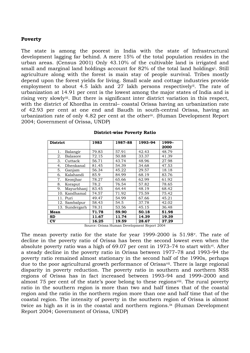#### **Poverty**

The state is among the poorest in India with the state of Infrastructural development lagging far behind. A mere 15% of the total population resides in the urban areas. (Census 2001) Only 43.10% of the cultivable land is irrigated and small and marg[i](#page-58-0)nal land holdings account for 82% of the total land holdings<sup>i</sup>. Still agriculture along with the forest is main stay of people survival. Tribes mostly depend upon the forest yields for living. Small scale and cottage industries provide employment to about 4.5 lakh and 27 lakh persons respectively<sup>[ii](#page-58-1)</sup>. The rate of urbanization at 14.91 per cent is the lowest among the major states of India and is rising very slowly[ii](#page-58-1)i. But there is significant inter district variation in this respect, with the district of Khordha in central– coastal Orissa having an urbanization rate of 42.93 per cent at one end and Baudh in south-central Orissa, having an urbanization rate of only 4.82 per cent at the other[i](#page-58-1)v. (Human Development Report 2004; Government of Orissa, UNDP)

| <b>District</b>        | 1983  | 1987-88 | 1993-94 | 1999– |
|------------------------|-------|---------|---------|-------|
|                        |       |         |         | 2000  |
| 1.<br>Balangir         | 79.83 | 57.91   | 42.43   | 48.79 |
| 2.<br>Balasore         | 72.15 | 50.88   | 33.37   | 41.39 |
| 3.<br>Cuttack          | 56.71 | 43.74   | 48.96   | 27.98 |
| Dhenkanal<br>4.        | 81.45 | 54.39   | 34.68   | 47.53 |
| 5.<br>Ganjam           | 56.34 | 45.22   | 29.57   | 18.18 |
| 6.<br>Kalahandi        | 85.9  | 84.99   | 68.19   | 83.76 |
| 7.<br>Keonjhar         | 78.27 | 65.66   | 62.99   | 61.92 |
| 8.<br>Koraput          | 78.2  | 76.54   | 57.82   | 78.65 |
| 9.<br>Mayurbhanj       | 83.45 | 64.44   | 48.19   | 68.42 |
| 10. Kandhamal          | 74.57 | 71.92   | 75.59   | 75.42 |
| 11. Puri               | 49.47 | 54.99   | 67.66   | 45.21 |
| 12. Sambalpur          | 58.43 | 54.5    | 37.78   | 42.02 |
| 13. Sundergarh         | 78.31 | 53.56   | 45.15   | 36.48 |
| Mean                   | 71.78 | 59.90   | 50.18   | 51.98 |
| SD                     | 11.67 | 11.74   | 14.39   | 19.39 |
| $\mathbf{C}\mathbf{V}$ | 16.25 | 19.59   | 28.67   | 37.29 |

#### **District-wise Poverty Ratio**

Source: Orissa Human Development Report 2004

The mean poverty ratio for the state for year 1999-2000 is 51.98[v.](#page-58-1) The rate of decline in the poverty ratio of Orissa has been the second lowest even when the absolute po[v](#page-58-1)erty ratio was a high of  $69.07$  per cent in 1973–74 to start with<sup>vi</sup>. After a steady decline in the poverty ratio in Orissa between 1977–78 and 1993–94 the poverty ratio remained almost stationary in the second half of the 1990s, perhaps due to the poor agricultural growth performance of Orissa[v](#page-58-1)ii. There is large regional disparity in poverty reduction. The poverty ratio in southern and northern NSS regions of Orissa has in fact increased between 1993–94 and 1999–2000 and almost 75 per cent of the state's poor belong to these regions[vi](#page-58-1)ii. The rural poverty ratio in the southern region is more than two and half times that of the coastal region and the ratio in the northern region more than one and half time that of the coastal region. The intensity of poverty in the southern region of Orissa is almost twice as high as it is in the coastal and northern regions.<sup>[ix](#page-58-1)</sup> (Human Development Report 2004; Government of Orissa, UNDP)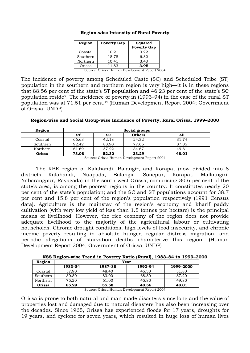| Region   | <b>Poverty Gap</b> | <b>Squared</b><br><b>Poverty Gap</b> |  |  |
|----------|--------------------|--------------------------------------|--|--|
| Coastal  | 10.21              | 3.22                                 |  |  |
| Southern | 18.78              | 6.82                                 |  |  |
| Northern | 10.41              | 3.43                                 |  |  |
| Orissa   | 11.83              | 3.95                                 |  |  |

#### **Region-wise Intensity of Rural Poverty**

Source: Orissa Human Development Report 2004

The incidence of poverty among Scheduled Caste (SC) and Scheduled Tribe (ST) population in the southern and northern region is very high—it is in these regions that 88.56 per cent of the state's ST population and 46.23 per cent of the state's SC population reside[x.](#page-58-1) The incidence of poverty in (1993–94) in the case of the rural ST population was at 71.51 per cent.[x](#page-58-1)i (Human Development Report 2004; Government of Orissa, UNDP)

**Region-wise and Social Group-wise Incidence of Poverty, Rural Orissa, 1999–2000** 

| Region   |       | Social groups |               |       |  |  |  |  |  |
|----------|-------|---------------|---------------|-------|--|--|--|--|--|
|          | ST    | <b>SC</b>     | <b>Others</b> | A11   |  |  |  |  |  |
| Coastal  | 66.63 | 42.18         | 24.32         | 31.74 |  |  |  |  |  |
| Southern | 92.42 | 88.90         | 77.65         | 87.05 |  |  |  |  |  |
| Northern | 61.69 | 57.22         | 34.67         | 49.81 |  |  |  |  |  |
| Orissa   | 73.08 | 52.30         | 33.29         | 48.01 |  |  |  |  |  |

Source: Orissa Human Development Report 2004

The KBK region of Kalahandi, Balangir, and Korapat (now divided into 8 districts Kalahandi, Nuapada, Balangir, Sonepur, Korapat, Malkangiri, Nabarangpur, Rayagada) in the south-west Orissa, comprising 30.6 per cent of the state's area, is among the poorest regions in the country. It constitutes nearly 20 per cent of the state's population; and the SC and ST populations account for 38.7 per cent and 15.8 per cent of the region's population respectively (1991 Census data). Agriculture is the mainstay of the region's economy and kharif paddy cultivation (with very low yield of less than 1.5 tonnes per hectare) is the principal means of livelihood. However, the rice economy of the region does not provide adequate livelihood to the majority of the agricultural labour or cultivating households. Chronic drought conditions, high levels of food insecurity, and chronic income poverty resulting in absolute hunger, regular distress migration, and periodic allegations of starvation deaths characterize this region. (Human Development Report 2004; Government of Orissa, UNDP)

**NSS Region-wise Trend in Poverty Ratio (Rural), 1983–84 to 1999–2000** 

| Region   |         |         | Year    |           |
|----------|---------|---------|---------|-----------|
|          | 1983–84 | 1987-88 | 1993–94 | 1999–2000 |
| Coastal  | 57.90   | 48.40   | 45.30   | 31.80     |
| Southern | 80.80   | 83.00   | 68.80   | 87.20     |
| Northern | 75.20   | 61.00   | 45.80   | 49.80     |
| Orissa   | 65.29   | 55.58   | 48.56   | 48.01     |

Source: Orissa Human Development Report 2004

Orissa is prone to both natural and man-made disasters since long and the value of properties lost and damaged due to natural disasters has also been increasing over the decades. Since 1965, Orissa has experienced floods for 17 years, droughts for 19 years, and cyclone for seven years, which resulted in huge loss of human lives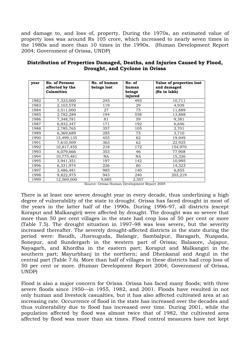and damage to, and loss of, property. During the 1970s, an estimated value of property loss was around Rs 105 crore, which increased to nearly seven times in the 1980s and more than 10 times in the 1990s. (Human Development Report 2004; Government of Orissa, UNDP)

| year | <b>No. of Persons</b><br>affected by the | No. of human<br>beings lost | No. of<br>human | Value of properties lost<br>and damaged |
|------|------------------------------------------|-----------------------------|-----------------|-----------------------------------------|
|      | <b>Calamities</b>                        |                             | beings          | (Rs in lakh)                            |
|      |                                          |                             | injured         |                                         |
| 1982 | 7,323,000                                | 245                         | 493             | 10,711                                  |
| 1983 | 2,103,578                                | 119                         | 29              | 4,939                                   |
| 1984 | 3,511,000                                | 27                          | 75              | 11,889                                  |
| 1985 | 2,782,289                                | 194                         | 558             | 13,888                                  |
| 1986 | 7,348,781                                | 81                          | 59              | 9,381                                   |
| 1987 | 6,932,347                                | 171                         | 192             | 6,646                                   |
| 1988 | 2,785,765                                | 357                         | 105             | 2,701                                   |
| 1989 | 6,369,689                                | 285                         | 75              | 3,710                                   |
| 1990 | 15,499,135                               | 455                         | 82              | 19,949                                  |
| 1991 | 7,610,509                                | 363                         | 62              | 22,925                                  |
| 1992 | 10,817,455                               | 218                         | 172             | 154,970                                 |
| 1993 | 6,079,666                                | 353                         | 46              | 77,908                                  |
| 1994 | 10,775,481                               | NA.                         | NA              | 15,326                                  |
| 1995 | 3,941,351                                | 197                         | 142             | 10,995                                  |
| 1996 | 6,331,974                                | 226                         | 80              | 14,323                                  |
| 1997 | 3,486,481                                | 985                         | 140             | 6,855                                   |
| 1998 | 9,822,975                                | 943                         | 240             | 203,219                                 |
| 1999 | 12,569,000                               | 9,885                       | 2,507           |                                         |

**Distribution of Properties Damaged, Deaths, and Injuries Caused by Flood, Drought, and Cyclone in Orissa** 

Source: Orissa Human Development Report 2004

There is at least one severe drought year in every decade, thus underlining a high degree of vulnerability of the state to drought. Orissa has faced drought in most of the years in the latter half of the 1990s. During 1996–97, all districts (except Koraput and Malkangiri) were affected by drought. The drought was so severe that more than 50 per cent villages in the state had crop loss of 50 per cent or more (Table 7.5). The drought situation in 1997–98 was less severe, but the severity increased thereafter. The severely drought-affected districts in the state during the period were: Baudh, Jharsuguda, Balangir, Sambalpur, Baragarh, Nuapada, Sonepur, and Sundergarh in the western part of Orissa; Balasore, Jajapur, Nayagarh, and Khordha in the eastern part; Koraput and Malkangiri in the southern part; Mayurbhanj in the northern; and Dhenkanal and Angul in the central part (Table 7.6). More than half of villages in these districts had crop loss of 50 per cent or more. (Human Development Report 2004; Government of Orissa, UNDP)

Flood is also a major concern for Orissa. Orissa has faced many floods; with three severe floods since 1950—in 1955, 1982, and 2001. Floods have resulted in not only human and livestock casualties, but it has also affected cultivated area at an increasing rate. Occurrence of flood in the state has increased over the decades and thus vulnerability due to flood has increased over time. During 2001, while the population affected by flood was almost twice that of 1982, the cultivated area affected by flood was more than six times. Flood control measures have not kept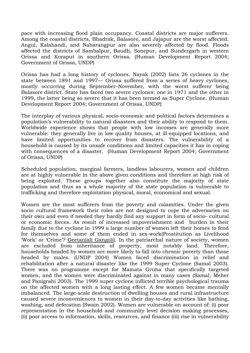pace with increasing flood plain occupancy. Coastal districts are major sufferers. Among the coastal districts, Bhadrak, Balasore, and Jajapur are the worst affected. Angul, Kalahandi, and Nabarangpur are also severely affected by flood. Floods affected the districts of Sambalpur, Baudh, Sonepur, and Sundergarh in western Orissa and Koraput in southern Orissa. (Human Development Report 2004; Government of Orissa, UNDP)

Orissa has had a long history of cyclones. Nayak (2002) lists 26 cyclones in the state between 1891 and 1997— Orissa suffered from a series of heavy cyclones, mostly occurring during September–November, with the worst sufferer being Balasore district. State has faced two severe cyclones: one in 1971 and the other in 1999, the latter being so severe that it has been termed as Super Cyclone. (Human Development Report 2004; Government of Orissa, UNDP)

The interplay of various physical, socio-economic and political factors determines a population's vulnerability to natural disasters and their ability to respond to them. Worldwide experience shows that people with low incomes are generally more vulnerable: they generally live in low quality houses, at ill-equipped locations, and have limited opportunities to recover from disasters. The vulnerability of a household is caused by its unsafe conditions and limited capacities it has in coping with consequences of a disaster. (Human Development Report 2004; Government of Orissa, UNDP)

Scheduled population, marginal farmers, landless labourers, women and children are at highly vulnerable in the above given conditions and therefore at high risk of being exploited. These groups together also constitute the majority of state population and thus as a whole majority of the state population is vulnerable to trafficking and therefore exploitation physical, moral, economical and sexual.

Women are the most sufferers from the poverty and calamities. Under the given socio cultural framework their roles are not designed to cope the adversaries on their own and even if needed they hardly find any support in form of socio- cultural or economic forces. As result of increased impoverishment and burden in their family due to the cyclone in 1999 a large number of women left their homes to fend for themselves and some of them ended in sex-work(Prostitution as Livelihood 'Work' or 'Crime'? [Geetanjali Gangoli\)](mailto:ggangoli@hotmail.com). In the patriarchal nature of society, women are excluded from inheritance of property, most notably land. Therefore, households headed by women are more likely to fall into chronic poverty than those headed by males. (UNDP 2004) Women faced discrimination in relief and rehabilitation after a natural disaster like the 1999 Super Cyclone (Samal 2003). There was no programme except for Mamata Gruha that specifically targeted women, and the women were discriminated against in many cases (Samal, Meher and Panigrahi 2003). The 1999 super cyclone inflicted terrible psychological trauma on the affected women with a long lasting effect. A few women became mentally imbalanced. The large-scale destruction of dwelling houses and rural infrastructure caused severe inconveniences to women in their day-to-day activities like bathing, washing, and defecation (Swain 2002). Women are vulnerable on account of: (i) poor representation in the household and community level decision making processes, (ii) poor access to information, skills, resources, and finance (iii) rise in vulnerability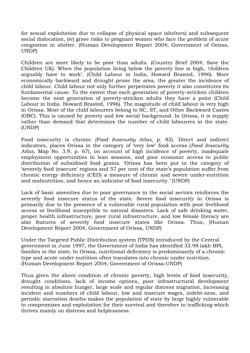for sexual exploitation due to collapse of physical space (shelters) and subsequent social dislocation, (iv) grave risks to pregnant women who face the problem of acute congestion in shelter. (Human Development Report 2004; Government of Orissa, UNDP)

Children are more likely to be poor than adults. (Country Brief 2004; Save the Children UK). When the population living below the poverty line is high, 'children arguably have to work'. (Child Labour in India, Howard Brasted, 1996). More economically backward and drought prone the area, the greater the incidence of child labour. Child labour not only further perpetrates poverty it also constitutes its fundamental cause. To the extent that each generation of poverty-stricken children become the next generation of poverty-stricken adults they have a point (Child Labour in India. Howard Brasted, 1996). The magnitude of child labour is very high in Orissa. Most of the child labourers belong to SC, ST, and Other Backward Castes (OBC). This is caused by poverty and low social background. In Orissa, it is supply rather than demand that determines the number of child labourers in the state. (UNDP)

Food insecurity is chronic *(Food Insecurity Atlas,* p. 82). Direct and indirect indicators, places Orissa in the category of 'very low' food access (*Food Insecurity Atlas*, Map No. 3.9, p. 67), on account of high incidence of poverty, inadequate employment opportunities in lean seasons, and poor economic access to public distribution of subsidised food grains. 'Orissa has been put in the category of 'severely food insecure' regions and 57 per cent of the state's population suffer from chronic energy deficiency (CED) a measure of chronic and severe under-nutrition and malnutrition, and hence an indicator of food insecurity.' (UNDP)

Lack of basic amenities due to poor governance in the social sectors reinforces the severely food insecure status of the state. Severe food insecurity in Orissa is primarily due to the presence of a vulnerable rural population with poor livelihood access or livelihood susceptible to natural disasters. Lack of safe drinking water, proper health infrastructure, poor rural infrastructure, and low female literacy are also features of severely food insecure states like Orissa. Thus, (Human Development Report 2004, Government of Orissa, UNDP)

Under the Targeted Public Distribution system (TPDS) introduced by the Central government in June 1997, the Government of India has identified 32.98 lakh BPL families in the state. In Orissa, nutritional deficiency is predominantly of a chronic type and acute under nutrition often translates into chronic under nutrition. (Human Development Report 2004, Government of Orissa-UNDP)

Thus given the above condition of chronic poverty, high levels of food insecurity, drought conditions, lack of income options, poor infrastructural development resulting in absolute hunger, large scale and regular distress migration, increasing incident and numbers of child labour, low and insecure wages, indebt-ness, and periodic starvation deaths makes the population of state by large highly vulnerable to compromises and exploitation for their survival and therefore to trafficking which thrives mainly on distress and helplessness.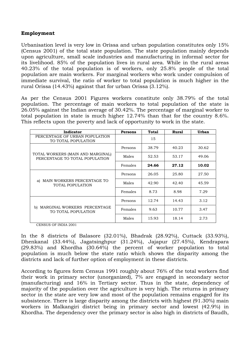#### **Employment**

Urbanisation level is very low in Orissa and urban population constitutes only 15% (Census 2001) of the total state population. The state population mainly depends upon agriculture, small scale industries and manufacturing in informal sector for its livelihood. 85% of the population lives in rural area. While in the rural areas 40.23% of the total population is of workers, only 25.8% people of the total population are main workers. For marginal workers who work under compulsion of immediate survival, the ratio of worker to total population is much higher in the rural Orissa (14.43%) against that for urban Orissa (3.12%).

As per the Census 2001 Figures workers constitute only 38.79% of the total population. The percentage of main workers to total population of the state is 26.05% against the Indian average of 30.42%. The percentage of marginal worker to total population in state is much higher 12.74% than that for the country 8.6%. This reflects upon the poverty and lack of opportunity to work in the state.

| Indicator                                                           | <b>Persons</b> | Total | Rural | <b>Urban</b> |
|---------------------------------------------------------------------|----------------|-------|-------|--------------|
| PERCENTAGE OF URBAN POPULATION<br>TO TOTAL POPULATION               |                | 15    |       |              |
|                                                                     | Persons        | 38.79 | 40.23 | 30.62        |
| TOTAL WORKERS (MAIN AND MARGINAL)<br>PERCENTAGE TO TOTAL POPULATION | Males          | 52.53 | 53.17 | 49.06        |
|                                                                     | Females        | 24.66 | 27.12 | 10.02        |
|                                                                     | Persons        | 26.05 | 25.80 | 27.50        |
| MAIN WORKERS PERCENTAGE TO<br>al<br><b>TOTAL POPULATION</b>         | Males          | 42.90 | 42.40 | 45.59        |
|                                                                     | Females        | 8.73  | 8.98  | 7.29         |
|                                                                     | Persons        | 12.74 | 14.43 | 3.12         |
| MARGINAL WORKERS PERCENTAGE<br>b)<br>TO TOTAL POPULATION            | Females        | 9.63  | 10.77 | 3.47         |
|                                                                     | Males          | 15.93 | 18.14 | 2.73         |

CENSUS OF INDIA 2001

In the 8 districts of Balasore (32.01%), Bhadrak (28.92%), Cuttack (33.93%), Dhenkanal (33.44%), Jagatsinghpur (31.24%), Jajapur (27.45%), Kendrapara (29.83%) and Khordha (30.64%) the percent of worker population to total population is much below the state ratio which shows the disparity among the districts and lack of further option of employment in these districts.

According to figures form Census 1991 roughly about 76% of the total workers find their work in primary sector (unorganized), 7% are engaged in secondary sector (manufacturing) and 16% in Tertiary sector. Thus in the state, dependency of majority of the population over the agriculture is very high. The returns in primary sector in the state are very low and most of the population remains engaged for its subsistence. There is large disparity among the districts with highest (91.30%) main workers in Malkangiri district being in primary sector and lowest (42.9%) in Khordha. The dependency over the primary sector is also high in districts of Baudh,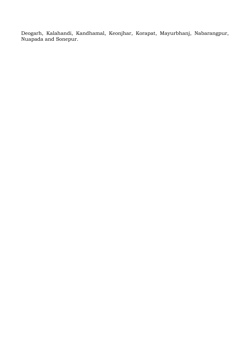Deogarh, Kalahandi, Kandhamal, Keonjhar, Korapat, Mayurbhanj, Nabarangpur, Nuapada and Sonepur.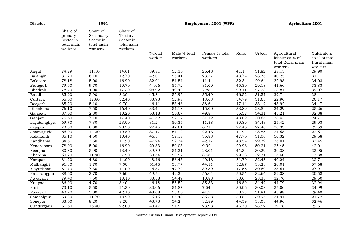| <b>District</b> |            | 1991       |            | Employment 2001 (WPR) |                         |                           |       |       | <b>Agriculture 2001</b>                                       |                                                       |
|-----------------|------------|------------|------------|-----------------------|-------------------------|---------------------------|-------|-------|---------------------------------------------------------------|-------------------------------------------------------|
|                 | Share of   | Share of   | Share of   |                       |                         |                           |       |       |                                                               |                                                       |
|                 | primary    | Secondary  | Tertiary   |                       |                         |                           |       |       |                                                               |                                                       |
|                 | Sector in  | Sector in  | Sector in  |                       |                         |                           |       |       |                                                               |                                                       |
|                 | total main | total main | total main |                       |                         |                           |       |       |                                                               |                                                       |
|                 | workers    | workers    | workers    |                       |                         |                           |       |       |                                                               |                                                       |
|                 |            |            |            | %Total<br>worker      | Male % total<br>workers | Female % total<br>workers | Rural | Urban | Agricultural<br>labour as % of<br>total Rural main<br>workers | Cultivators<br>as % of total<br>Rural main<br>workers |
| Angul           | 74.29      | 11.10      | 14.61      | 39.81                 | 52.36                   | 26.48                     | 41.1  | 31.82 | 28.15                                                         | 29.90                                                 |
| Balangir        | 81.20      | 6.10       | 12.70      | 42.01                 | 55.41                   | 28.37                     | 43.74 | 28.76 | 40.25                                                         | $\overline{31}$                                       |
| Balasore        | 78.18      | 5.00       | 16.90      | 32.01                 | 51.54                   | 11.44                     | 32.3  | 29.64 | 32.98                                                         | 34.03                                                 |
| Baragarh        | 79.60      | 9.70       | 10.70      | 44.06                 | 56.72                   | 31.09                     | 45.30 | 29.18 | 41.66                                                         | 33.83                                                 |
| Bhadrak         | 78.70      | 4.00       | 17.30      | 28.92                 | 49.40                   | 7.88                      | 29.11 | 27.28 | 28.84                                                         | 39.07                                                 |
| Baudh           | 85.90      | 5.90       | 8.30       | 45.8                  | 55.95                   | 35.49                     | 46.52 | 31.57 | 39.7                                                          | 38.41                                                 |
| Cuttack         | 55.00      | 12.60      | 32.40      | 33.93                 | 52.98                   | 13.63                     | 34.79 | 31.65 | 22.96                                                         | 20.17                                                 |
| Deogarh         | 85.20      | 5.10       | 9.70       | 46.11                 | 33.48                   | 38.6                      | 47.14 | 33.12 | 43.92                                                         | 34.47                                                 |
| Dhenkanal       | 76.10      | 7.50       | 16.40      | 33.44                 | $\frac{1}{51.18}$       | 15.00                     | 33.89 | 28.8  | 34.29                                                         | 25.26                                                 |
| Gajapati        | 87.00      | 2.80       | 10.20      | 53.18                 | 56,67                   | 49.8                      | 55.32 | 34.31 | 45.21                                                         | 32.88                                                 |
| Ganjam          | 75.60      | 7.10       | 17.40      | 41.62                 | 52.12                   | 31.12                     | 43.89 | 30.66 | 38.43                                                         | 24.71                                                 |
| Jagatsinghpur   | 69.70      | 7.30       | 23.00      | 31.24                 | 50.35                   | 11.38                     | 30.89 | 34.43 | 25.42                                                         | 29.03                                                 |
| Jajapur         | 73.00      | 6.80       | 20.30      | 27.45                 | 47.61                   | 6.71                      | 27.45 | 27.48 | 30.33                                                         | 25.59                                                 |
| Jharsuguda      | 66.00      | 14.30      | 19.80      | 37.17                 | 51.12                   | 22.43                     | 41.94 | 28.85 | 24.58                                                         | 22.51                                                 |
| Kalahandi       | 85.10      | 4.50       | 10.40      | 46.5                  | 57.18                   | 35.83                     | 47.76 | 31.06 | 50.32                                                         | 29.68                                                 |
| Kandhamal       | 84.5       | 3.60       | 11.90      | 47.24                 | 52.34                   | 42.17                     | 48.54 | 29.39 | 36.01                                                         | 33.45                                                 |
| Kendrapara      | 78.00      | 5.00       | 16.90      | 29.83                 | 50.03                   | 9.92                      | 29.98 | 50.21 | 25.45                                                         | 42.01                                                 |
| Keonjhar        | 80.80      | 5.90       | 13.40      | 39.79                 | 51.31                   | 28.01                     | 41.3  | 30.29 | 36.38                                                         | 32.95                                                 |
| Khordha         | 50.20      | 11.90      | 37.90      | 30.64                 | $\overline{50.52}$      | 8.56                      | 29.38 | 32.31 | 16.40                                                         | 13.88                                                 |
| Korapat         | 81.20      | 4.80       | 14.00      | 48.46                 | 56.43                   | 40.48                     | 51.70 | 32.45 | 40.24                                                         | 32.71                                                 |
| Malkangiri      | 91.30      | 1.70       | 7.00       | 51.45                 | 58.77                   | 44.11                     | 52.87 | 33.23 | 26.01                                                         | 57.68                                                 |
| Mayurbhanj      | 81.70      | 7.30       | 11.00      | 46.37                 | 42.72                   | 39.89                     | 47.55 | 30.69 | 38.51                                                         | 27.91                                                 |
| Nabarangpur     | 88.60      | 3.70       | 7.60       | 49.5                  | 42.3                    | 56.64                     | 50.54 | 32.64 | 52.38                                                         | 30.58                                                 |
| Nayagarh        | 79.40      | 7.50       | 13.10      | 33.38                 | 54.49                   | 10.88                     | 33.6  | 28.35 | 32.76                                                         | 29.50                                                 |
| Nuapada         | 86.90      | 4.70       | 8.40       | 46.18                 | 55.52                   | 35.83                     | 46.89 | 34.42 | 44.79                                                         | 32.94                                                 |
| Puri            | 73.10      | 5.50       | 21.30      | 30.06                 | 51.87                   | 7.54                      | 30.06 | 30.08 | 25.06                                                         | 34.99                                                 |
| Rayagarh        | 42.90      | 5.00       | 42.10      | 48.08                 | 55.06                   | 41.3                      | 50.73 | 31.81 | 45.98                                                         | 29.40                                                 |
| Sambalpur       | 69.30      | 11.70      | 18.90      | 45.15                 | 54.43                   | 35.58                     | 50.5  | 30.95 | 31.94                                                         | 21.72                                                 |
| Sonepur         | 83.60      | 8.20       | 8.20       | 43.73                 | 54.2                    | 32.89                     | 44.59 | 33.03 | 44.96                                                         | 32.46                                                 |
| Sundergarh      | 61.60      | 16.40      | 22.00      | 40.47                 | 51.5                    | 28.93                     | 46.70 | 28.52 | 29.78                                                         | 29.6                                                  |

Source: Orissa Human Development Report 2004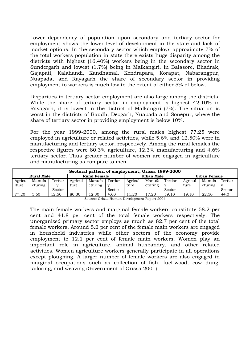Lower dependency of population upon secondary and tertiary sector for employment shows the lower level of development in the state and lack of market options. In the secondary sector which employs approximate 7% of the total workers population in state there exists huge disparity among the districts with highest (16.40%) workers being in the secondary sector in Sundergarh and lowest (1.7%) being in Malkangiri. In Balasore, Bhadrak, Gajapati, Kalahandi, Kandhamal, Kendrapara, Korapat, Nabarangpur, Nuapada, and Rayagarh the share of secondary sector in providing employment to workers is much low to the extent of either 5% of below.

Disparities in tertiary sector employment are also large among the districts. While the share of tertiary sector in employment is highest 42.10% in Rayagarh, it is lowest in the district of Malkangiri (7%). The situation is worst in the districts of Baudh, Deogarh, Nuapada and Sonepur, where the share of tertiary sector in providing employment is below 10%.

For the year 1999-2000, among the rural males highest 77.25 were employed in agriculture or related activities, while 5.6% and 12.50% were in manufacturing and tertiary sector, respectively. Among the rural females the respective figures were 80.3% agriculture, 12.3% manufacturing and 4.6% tertiary sector. Thus greater number of women are engaged in agriculture and manufacturing as compare to men.

| Sectoral pattern of employment, Orissa 1999-2000                       |                                      |         |         |         |         |         |         |              |         |         |         |
|------------------------------------------------------------------------|--------------------------------------|---------|---------|---------|---------|---------|---------|--------------|---------|---------|---------|
| <b>Rural Male</b><br><b>Rural Female</b><br>Urban Female<br>Urban Male |                                      |         |         |         |         |         |         |              |         |         |         |
| Agricu                                                                 | Manufa                               | Tertiar | Agricul | Manufa  | Tertiar | Agricul | Manufa  | Tertiar      | Agricul | Manufa  | Tertiar |
| lture                                                                  | cturing                              | v.      | ture    | cturing | V.      | ture    | cturing | $\mathbf{v}$ | ture    | cturing |         |
|                                                                        | Sector<br>Sector<br>Sector<br>Sector |         |         |         |         |         |         |              |         |         |         |
| 77.20                                                                  | 5.60                                 | 12.50   | 80.30   | 12.30   | 4.60    | 1.20    | 17.20   | 59.10        | 19.10   | 22.50   | 44.0    |

Source: Orissa Human Development Report 2004

The main female workers and marginal female workers constitute 58.2 per cent and 41.8 per cent of the total female workers respectively. The unorganized primary sector employs as much as 82.7 per cent of the total female workers. Around 5.2 per cent of the female main workers are engaged in household industries while other sectors of the economy provide employment to 12.1 per cent of female main workers. Women play an important role in agriculture, animal husbandry, and other related activities. Women agriculture workers generally participate in all operations except ploughing. A larger number of female workers are also engaged in marginal occupations such as collection of fish, fuel-wood, cow dung, tailoring, and weaving (Government of Orissa 2001).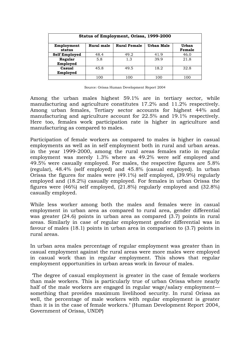| Status of Employment, Orissa, 1999-2000                                                    |      |      |      |      |  |  |  |  |  |
|--------------------------------------------------------------------------------------------|------|------|------|------|--|--|--|--|--|
| <b>Rural Female</b><br>Urban Male<br>Rural male<br>Urban<br>Employment<br>status<br>Female |      |      |      |      |  |  |  |  |  |
| <b>Self Employed</b>                                                                       | 48.4 | 49.2 | 41.9 | 46.0 |  |  |  |  |  |
| Regular<br>Employed                                                                        | 5.8  | 1.3  | 39.9 | 21.8 |  |  |  |  |  |
| Casual<br>45.8<br>32.8<br>49.5<br>18.2<br>Employed                                         |      |      |      |      |  |  |  |  |  |
|                                                                                            | 100  | 100  | 100  | 100  |  |  |  |  |  |

Source: Orissa Human Development Report 2004

Among the urban males highest 59.1% are in tertiary sector, while manufacturing and agriculture constitutes 17.2% and 11.2% respectively. Among urban females, Tertiary sector accounts for highest 44% and manufacturing and agriculture account for 22.5% and 19.1% respectively. Here too, females work participation rate is higher in agriculture and manufacturing as compared to males.

Participation of female workers as compared to males is higher in casual employments as well as in self employment both in rural and urban areas. in the year 1999-2000, among the rural areas females ratio in regular employment was merely 1.3% where as 49.2% were self employed and 49.5% were casually employed. For males, the respective figures are 5.8% (regular), 48.4% (self employed) and 45.8% (casual employed). In urban Orissa the figures for males were (49.1%) self employed, (39.9%) regularly employed and (18.2%) casually employed. For females in urban Orissa the figures were (46%) self employed, (21.8%) regularly employed and (32.8%) casually employed.

While less worker among both the males and females were in casual employment in urban area as compared to rural area, gender differential was greater (24.6) points in urban area as compared (3.7) points in rural areas. Similarly in case of regular employment gender differential was in favour of males (18.1) points in urban area in comparison to (3.7) points in rural areas.

In urban area males percentage of regular employment was greater than in casual employment against the rural areas were more males were employed in casual work than in regular employment. This shows that regular employment opportunities in urban areas work in favour of males.

 'The degree of casual employment is greater in the case of female workers than male workers. This is particularly true of urban Orissa where nearly half of the male workers are engaged in regular wage/salary employment something that provides maximum livelihood security. In rural Orissa as well, the percentage of male workers with regular employment is greater than it is in the case of female workers.' (Human Development Report 2004, Government of Orissa, UNDP)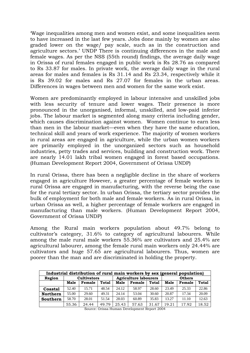'Wage inequalities among men and women exist, and some inequalities seem to have increased in the last few years. Jobs done mainly by women are also graded lower on the wage/ pay scale, such as in the construction and agriculture sectors.' UNDP There is continuing differences in the male and female wages. As per the NSS (55th round) findings, the average daily wage in Orissa of rural females engaged in public work is Rs 28.76 as compared to Rs 33.87 for males. In private work, the average daily wage in the rural areas for males and females is Rs 31.14 and Rs 23.34, respectively while it is Rs 39.02 for males and Rs 27.07 for females in the urban areas. Differences in wages between men and women for the same work exist.

Women are predominantly employed in labour intensive and unskilled jobs with less security of tenure and lower wages. Their presence is more pronounced in the unorganised, informal, unskilled, and low-paid inferior jobs. The labour market is segmented along many criteria including gender, which causes discrimination against women. Women continue to earn less than men in the labour market—even when they have the same education, technical skill and years of work experience. The majority of women workers in rural areas are engaged in agriculture, while the urban women workers are primarily employed in the unorganized sectors such as household industries, petty trades and services, building and construction work. There are nearly 14.01 lakh tribal women engaged in forest based occupations. (Human Development Report 2004, Government of Orissa UNDP)

In rural Orissa, there has been a negligible decline in the share of workers engaged in agriculture However, a greater percentage of female workers in rural Orissa are engaged in manufacturing, with the reverse being the case for the rural tertiary sector. In urban Orissa, the tertiary sector provides the bulk of employment for both male and female workers. As in rural Orissa, in urban Orissa as well, a higher percentage of female workers are engaged in manufacturing than male workers. (Human Development Report 2004, Government of Orissa UNDP)

Among the Rural main workers population about 49.7% belong to cultivator's category, 31.6% to category of agricultural labourers. While among the male rural male workers 55.36% are cultivators and 25.4% are agricultural labourer, among the female rural main workers only 24.44% are cultivators and huge 57.65 are agricultural labourers. Thus, women are poorer than the man and are discriminated in holding the property.

| Industrial distribution of rural main workers by sex (general population) |       |                    |       |                              |       |       |               |        |              |  |
|---------------------------------------------------------------------------|-------|--------------------|-------|------------------------------|-------|-------|---------------|--------|--------------|--|
| Region                                                                    |       | <b>Cultivators</b> |       | <b>Agriculture labourers</b> |       |       | <b>Others</b> |        |              |  |
|                                                                           | Male  | Female             | Total | Female<br>Male<br>Total      |       |       |               | Female | <b>Total</b> |  |
| <b>Coastal</b>                                                            | 52.40 | 15.71              | 48.54 | 24.12                        | 58.97 | 28.60 | 23.49         | 25.33  | 22.86        |  |
| <b>Northern</b>                                                           | 55.00 | 29.60              | 49.31 | 24.14                        | 53.04 | 30.60 | 20.87         | 17.34  | 20.09        |  |
| Southern                                                                  | 58.70 | 28.01              | 51.54 | 28.03                        | 60.89 | 35.83 | 13.27         | 11.10  | 12.63        |  |
|                                                                           | 55.36 | 24.44              | 49.79 | 25.43                        | 57.63 | 31.67 | 19.21         | 17.92  | 18.52        |  |

Source: Orissa Human Development Report 2004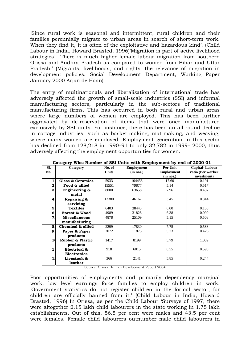'Since rural work is seasonal and intermittent, rural children and their families perennially migrate to urban areas in search of short-term work. When they find it, it is often of the exploitative and hazardous kind'. (Child Labour in India, Howard Brasted, 1996)'Migration is part of active livelihood strategies'. 'There is much higher female labour migration from southern Orissa and Andhra Pradesh as compared to women from Bihar and Uttar Pradesh.' (Migrants, livelihoods, and rights: the relevance of migration in development policies. Social Development Department, Working Paper January 2000 Arjan de Haan)

The entry of multinationals and liberalization of international trade has adversely affected the growth of small-scale industries (SSI) and informal manufacturing sectors, particularly in the sub-sectors of traditional manufacturing firms. This has occurred in both rural and urban areas where large numbers of women are employed. This has been further aggravated by de-reservation of items that were once manufactured exclusively by SSI units. For instance, there has been an all-round decline in cottage industries, such as basket-making, mat-making, and weaving, where many women are employed. Employment generation in this sector has declined from 128,218 in 1990–91 to only 32,782 in 1999– 2000, thus adversely affecting the employment opportunities for women.

|              | Category Wise Number of SSI Units with Employment by end of 2000-01 |                        |                                |                               |                                     |
|--------------|---------------------------------------------------------------------|------------------------|--------------------------------|-------------------------------|-------------------------------------|
| SI.<br>No.   | Category                                                            | No. of<br><b>Units</b> | <b>Employment</b><br>(in nos.) | Per Unit<br><b>Employment</b> | Capital-Labour<br>ratio (Per worker |
|              |                                                                     |                        |                                | (in nos.)                     | investment)                         |
| 1.           | <b>Glass &amp; Ceramics</b>                                         | 5933                   | 104458                         | 17.60                         | 0.191                               |
| 2.           | Food & allied                                                       | 15551                  | 79877                          | 5.14                          | 0.517                               |
| 3.           | <b>Engineering &amp;</b><br>metal                                   | 8000                   | 63658                          | 7.96                          | 0.432                               |
| 4.           | Repairing &<br>servicing                                            | 13380                  | 46167                          | 3.45                          | 0.344                               |
| 5.           | <b>Textiles</b>                                                     | 6403                   | 38443                          | 6.00                          | 0.155                               |
| 6.           | <b>Forest &amp; Wood</b>                                            | 4989                   | 31828                          | 6.38                          | 0.099                               |
| 7            | <b>Miscellaneous</b><br>manufacturing                               | 4878                   | 25109                          | 5.15                          | 0.508                               |
| 8.           | Chemical & allied                                                   | 2299                   | 17830                          | 7.75                          | 0.583                               |
| 9.           | Paper & Paper<br>products                                           | 2072                   | 11873                          | 5.73                          | 0.426                               |
| $\mathbf{1}$ | <b>Rubber &amp; Plastic</b><br>products                             | 1417                   | 8199                           | 5.79                          | 1.039                               |
| $\mathbf{1}$ | Electrical &<br><b>Electronics</b>                                  | 918                    | 6015                           | 6.55                          | 0.598                               |
| 11           | Livestock &<br>leather                                              | 366                    | 2141                           | 5.85                          | 0.244                               |

Source: Orissa Human Development Report 2004

Poor opportunities of employments and primarily dependency marginal work, low level earnings force families to employ children in work. 'Government statistics do not register children in the formal sector, for children are officially banned from it.' (Child Labour in India, Howard Brasted, 1996) In Orissa, as per the Child Labour 'Surveys of 1997, there were altogether 2.15 lakh child labourers in the state working in 1.75 lakh establishments. Out of this, 56.5 per cent were males and 43.5 per cent were females. Female child labourers outnumber male child labourers in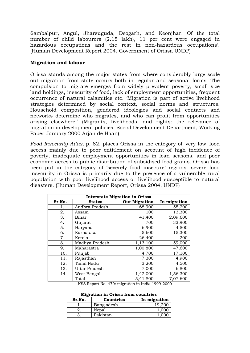Sambalpur, Angul, Jharsuguda, Deogarh, and Keonjhar. Of the total number of child labourers (2.15 lakh), 11 per cent were engaged in hazardous occupations and the rest in non-hazardous occupations'. (Human Development Report 2004, Government of Orissa UNDP)

#### **Migration and labour**

Orissa stands among the major states from where considerably large scale out migration from state occurs both in regular and seasonal forms. The compulsion to migrate emerges from widely prevalent poverty, small size land holdings, insecurity of food, lack of employment opportunities, frequent occurrence of natural calamities etc. 'Migration is part of active livelihood strategies determined by social context, social norms and structures. Household composition, gendered ideologies and social contacts and networks determine who migrates, and who can profit from opportunities arising elsewhere.' (Migrants, livelihoods, and rights: the relevance of migration in development policies. Social Development Department, Working Paper January 2000 Arjan de Haan)

*Food Insecurity Atlas,* p. 82, places Orissa in the category of 'very low' food access mainly due to poor entitlement on account of high incidence of poverty, inadequate employment opportunities in lean seasons, and poor economic access to public distribution of subsidised food grains. Orissa has been put in the category of 'severely food insecure' regions. severe food insecurity in Orissa is primarily due to the presence of a vulnerable rural population with poor livelihood access or livelihood susceptible to natural disasters. (Human Development Report, Orissa 2004, UNDP)

|        | <b>Interstate Migration in Orissa</b> |                      |              |  |  |  |  |  |  |  |  |
|--------|---------------------------------------|----------------------|--------------|--|--|--|--|--|--|--|--|
| Sr.No. | <b>States</b>                         | <b>Out Migration</b> | In migration |  |  |  |  |  |  |  |  |
| 1.     | Andhra Pradesh                        | 68,900               | 55,200       |  |  |  |  |  |  |  |  |
| 2.     | Assam                                 | 100                  | 13,300       |  |  |  |  |  |  |  |  |
| 3.     | Bihar                                 | 41,400               | 2,09,600     |  |  |  |  |  |  |  |  |
| 4.     | Gujarat                               | 700                  | 33,900       |  |  |  |  |  |  |  |  |
| 5.     | Haryana                               | 6,900                | 4,500        |  |  |  |  |  |  |  |  |
| 6.     | Karnataka                             | 5,600                | 15,300       |  |  |  |  |  |  |  |  |
| 7.     | Kerala                                | 26,400               | 200          |  |  |  |  |  |  |  |  |
| 8.     | Madhya Pradesh                        | 1,13,100             | 59,000       |  |  |  |  |  |  |  |  |
| 9.     | Maharastra                            | 1,00,800             | 47,600       |  |  |  |  |  |  |  |  |
| 10.    | Punjab                                | 4,700                | 17,100       |  |  |  |  |  |  |  |  |
| 11.    | Rajasthan                             | 7,300                | 4,900        |  |  |  |  |  |  |  |  |
| 12.    | Tamil Nadu                            | 3,200                | 4,500        |  |  |  |  |  |  |  |  |
| 13.    | <b>Uttar Pradesh</b>                  | 7,000                | 6,800        |  |  |  |  |  |  |  |  |
| 14.    | West Bengal                           | 1,42,000             | 1,56,300     |  |  |  |  |  |  |  |  |
|        | Total                                 | 5,41,800             | 7,07,600     |  |  |  |  |  |  |  |  |

NSS Report No. 470: migration in India 1999-2000

| <b>Migration in Orissa from countries</b> |                  |              |  |  |  |  |  |  |  |
|-------------------------------------------|------------------|--------------|--|--|--|--|--|--|--|
| Sr.No.                                    | <b>Countries</b> | In migration |  |  |  |  |  |  |  |
|                                           | Bangladesh       | 19.200       |  |  |  |  |  |  |  |
|                                           | Nepal            | 1.000        |  |  |  |  |  |  |  |
|                                           | Pakistan         |              |  |  |  |  |  |  |  |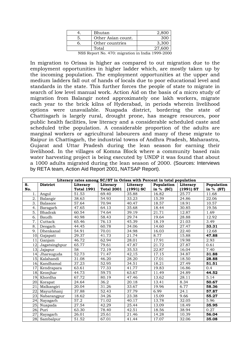| Bhutan             |  |
|--------------------|--|
| Other Asian count. |  |
| Other countries    |  |
| Total              |  |

NSS Report No. 470: migration in India 1999-2000

In migration to Orissa is higher as compared to out migration due to the employment opportunities in higher ladder which, are mostly taken up by the incoming population. The employment opportunities at the upper and medium ladders fall out of hands of locals due to poor educational level and standards in the state. This further forces the people of state to migrate in search of low level manual work. Action Aid on the basis of a micro study of migration from Balangir noted approximately one lakh workers, migrate each year to the brick kilns of Hyderabad, in periods wherein livelihood options were unavailable. Nuapada district, bordering the state of Chattisgarh is largely rural, drought prone, has meagre resources, poor public health facilities, low literacy and a considerable scheduled caste and scheduled tribe population. A considerable proportion of the adults are marginal workers or agricultural labourers and many of these migrate to Raipur in Chattisgarh, the industrial towns of Andhra Pradesh, Maharastra, Gujarat and Uttar Pradesh during the lean season for earning their livelihood. In the villages of Komna Block where a community based rain water harvesting project is being executed by UNDP it was found that about a 1000 adults migrated during the lean season of 2000. (Sources: Interviews by RETA team, Action Aid Report 2001, NATSAP Report).

|                 |                 |                   |                   |             | Literacy rates among SC/ST in Orissa with Percent in total population |             |             |
|-----------------|-----------------|-------------------|-------------------|-------------|-----------------------------------------------------------------------|-------------|-------------|
| S.              | <b>District</b> | Literacy          | Literacy          | Literacy    | Population                                                            | Literacy    | Population  |
| No.             |                 | <b>Total 1991</b> | <b>Total 2001</b> | $(1991)$ SC | in $%$ (SC)                                                           | $(1991)$ ST | in $%$ (ST) |
| 1.              | Angul           | 51.53             | 69.40             | 35.88       | 16.82                                                                 | 25.77       | 11.68       |
| 2.              | Balangir        | 38.63             | 54.93             | 33.23       | 15.39                                                                 | 24.86       | 22.06       |
| 3.              | Balasore        | 57.64             | 70.94             | 40.47       | 18.57                                                                 | 18.91       | 10.57       |
| 4.              | Baragarh        | 47.65             | 64.13             | 35.68       | 18.44                                                                 | 30.85       | 19.56       |
| 5.              | Bhadrak         | 60.54             | 74.64             | 39.19       | 21.71                                                                 | 12.87       | 1.69        |
| 6.              | Baudh           | 40.98             | 58.43             | 29.74       | 19.64                                                                 | 28.88       | 12.92       |
| 7.              | Cuttack         | 65.46             | 76.13             | 45.39       | 18.19                                                                 | 21.03       | 3.49        |
| 8.              | Deogarh         | 44.45             | 60.78             | 34.06       | 14.60                                                                 | 27.47       | 33.31       |
| 9.              | Dhenkanal       | 54.91             | 70.01             | 34.98       | 16.03                                                                 | 22.40       | 12.68       |
| 10              | Gajapati        | 29.37             | 41.73             | 21.74       | 8.77                                                                  | 15.88       | 47.88       |
| 11              | Ganjam          | 46.72             | 62.94             | 28.01       | 17.91                                                                 | 19.98       | 2.93        |
| 12 <sub>1</sub> | Jagatsinghpur   | 65.77             | 79.61             | 47.87       | 21.72                                                                 | 27.87       | 0.61        |
| 13 <sub>l</sub> | Jajapur         | 58                | 72.19             | 35.53       | 22.87                                                                 | 16.04       | 7.40        |
| 14.             | Jharsuguda      | 52.73             | 71.47             | 42,15       | 17.15                                                                 | 34.87       | 31.88       |
|                 | 15 Kalahandi    | 31.08             | 46.20             | 28.20       | 17.01                                                                 | 18.50       | 28.88       |
|                 | 16. Kandhamal   | 37.23             | 52.95             | 34.51       | 18.21                                                                 | 27.49       | 51.51       |
| 17              | Kendrapara      | 63.61             | 77.33             | 41.77       | 19.83                                                                 | 16.86       | 0.4         |
|                 | 18. Keonjhar    | 44.73             | 59.75             | 63.67       | 11.49                                                                 | 24.89       | 44.52       |
| 19.             | Khordha         | 67.72             | 80.19             | 47.46       | 13.62                                                                 | 28.11       | 5.14        |
|                 | 20 Korapat      | 24.64             | 36.2              | 20.18       | 13.41                                                                 | 8.34        | 50.67       |
| 21              | Malkangiri      | 20.04             | 31.26             | 33.67       | 19.96                                                                 | 6.77        | 58.36       |
|                 | 22. Mayurbhanj  | 37.88             | 52.43             | 37.79       | 6.99                                                                  | 24.1        | 57.87       |
| 23.             | Nabarangpur     | 18.62             | 34.26             | 23.38       | 15.09                                                                 | 9.66        | 55.27       |
| 24              | Nayagarh        | 57.2              | 71.02             | 40.17       | 13.78                                                                 | 32.05       | 5.96        |
| 25.             | Nuapada         | 27.54             | 42.29             | 25.44       | 13.09                                                                 | 18.49       | 35.95       |
| 26.             | Puri            | 63.30             | 78.40             | 42.51       | 18.56                                                                 | 38.94       | 0.27        |
| 27              | Rayagarh        | 26.01             | 25.61             | 21.46       | 14.28                                                                 | 10.39       | 56.04       |
|                 | 28. Sambalpur   | 51.52             | 67.01             | 41.44       | 17.07                                                                 | 32.06       | 35.08       |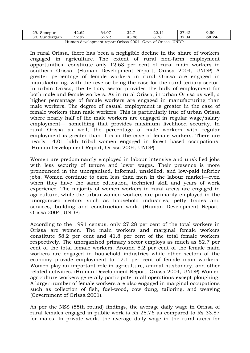| 29. | sonepur                      | $\sim$<br>$\sim$<br>$\sim$<br>r∠.∪∠ | $\sim$<br>64<br>r.U.                      | 207<br><b>J</b> 4.1 | ററ<br>44.11 | $\sim$<br>42.'<br>$\sim$ | $\Gamma$<br>$\sim$<br>9.50 |
|-----|------------------------------|-------------------------------------|-------------------------------------------|---------------------|-------------|--------------------------|----------------------------|
| 30. | 1dergark<br>--<br>ici gai ii | $\sim$<br>$\sim$ $\sim$<br>しム・フ     | $\sim$ $\sim$<br>$\cap$<br>$h -$<br>00.44 | 43.86               | 8.78        | $\sim$<br>.34            | 50<br>74                   |
|     |                              |                                     | $\sim$                                    | 0.001               | $\sim$      | <b>TIMED</b>             |                            |

Human development report Orissa 2004- Govt. of Orissa- UNDP.

In rural Orissa, there has been a negligible decline in the share of workers engaged in agriculture. The extent of rural non-farm employment opportunities, constitute only 12.63 per cent of rural main workers in southern Orissa. (Human Development Report, Orissa 2004, UNDP) A greater percentage of female workers in rural Orissa are engaged in manufacturing, with the reverse being the case for the rural tertiary sector. In urban Orissa, the tertiary sector provides the bulk of employment for both male and female workers. As in rural Orissa, in urban Orissa as well, a higher percentage of female workers are engaged in manufacturing than male workers. The degree of casual employment is greater in the case of female workers than male workers. This is particularly true of urban Orissa where nearly half of the male workers are engaged in regular wage/salary employment— something that provides maximum livelihood security. In rural Orissa as well, the percentage of male workers with regular employment is greater than it is in the case of female workers. There are nearly 14.01 lakh tribal women engaged in forest based occupations. (Human Development Report, Orissa 2004, UNDP)

Women are predominantly employed in labour intensive and unskilled jobs with less security of tenure and lower wages. Their presence is more pronounced in the unorganised, informal, unskilled, and low-paid inferior jobs. Women continue to earn less than men in the labour market—even when they have the same education, technical skill and years of work experience. The majority of women workers in rural areas are engaged in agriculture, while the urban women workers are primarily employed in the unorganized sectors such as household industries, petty trades and services, building and construction work. (Human Development Report, Orissa 2004, UNDP)

According to the 1991 census, only 27.28 per cent of the total workers in Orissa are women. The main workers and marginal female workers constitute 58.2 per cent and 41.8 per cent of the total female workers respectively. The unorganised primary sector employs as much as 82.7 per cent of the total female workers. Around 5.2 per cent of the female main workers are engaged in household industries while other sectors of the economy provide employment to 12.1 per cent of female main workers. Women play an important role in agriculture, animal husbandry, and other related activities. (Human Development Report, Orissa 2004, UNDP) Women agriculture workers generally participate in all operations except ploughing. A larger number of female workers are also engaged in marginal occupations such as collection of fish, fuel-wood, cow dung, tailoring, and weaving (Government of Orissa 2001).

As per the NSS (55th round) findings, the average daily wage in Orissa of rural females engaged in public work is Rs 28.76 as compared to Rs 33.87 for males. In private work, the average daily wage in the rural areas for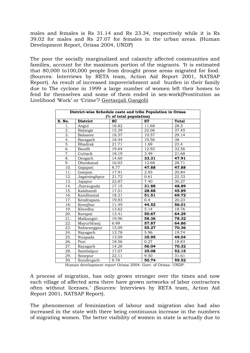males and females is Rs 31.14 and Rs 23.34, respectively while it is Rs 39.02 for males and Rs 27.07 for females in the urban areas. (Human Development Report, Orissa 2004, UNDP)

The poor the socially marginalized and calamity affected communities and families, account for the maximum portion of the migrants. 'It is estimated that 80,000 to100,000 people from drought prone areas migrated for food. (Sources: Interviews by RETA team, Action Aid Report 2001, NATSAP Report). As result of increased impoverishment and burden in their family due to The cyclone in 1999 a large number of women left their homes to fend for themselves and some of them ended in sex-work(Prostitution as Livelihood 'Work' or 'Crime'? [Geetanjali Gangoli\)](mailto:ggangoli@hotmail.com)

| District-wise Schedule caste and tribe Population in Orissa<br>(% of total population) |                 |                    |           |       |  |  |  |  |  |
|----------------------------------------------------------------------------------------|-----------------|--------------------|-----------|-------|--|--|--|--|--|
| S. No.                                                                                 | <b>District</b> | <b>SC</b>          | <b>ST</b> | Total |  |  |  |  |  |
| 1.                                                                                     | Angul           | 16.82              | 11.68     | 28.5  |  |  |  |  |  |
| 2.                                                                                     | Balangir        | 15.39              | 22.06     | 37.45 |  |  |  |  |  |
| 3.                                                                                     | Balasore        | 18.57              | 10.57     | 29.14 |  |  |  |  |  |
| 4.                                                                                     | Baragarh        | 18.44              | 19.56     | 38    |  |  |  |  |  |
| 5.                                                                                     | <b>Bhadrak</b>  | 21.71              | 1.69      | 23.4  |  |  |  |  |  |
| $\overline{6}$ .                                                                       | Baudh           | 19.64              | 12.92     | 32.56 |  |  |  |  |  |
| 7.                                                                                     | Cuttack         | 18.19              | 3.49      | 21.68 |  |  |  |  |  |
| 8.                                                                                     | Deogarh         | 14.60              | 33.31     | 47.91 |  |  |  |  |  |
| 9.                                                                                     | Dhenkanal       | 16.03              | 12.68     | 28.71 |  |  |  |  |  |
| 10.                                                                                    | Gajapati        | 8.77               | 47.88     | 47.88 |  |  |  |  |  |
| 11.                                                                                    | Ganjam          | 17.91              | 2.93      | 20.84 |  |  |  |  |  |
| 12.                                                                                    | Jagatsinghpur   | 21.72              | 0.61      | 22.33 |  |  |  |  |  |
| 13.                                                                                    | Jajapur         | 22.87              | 7.40      | 30.27 |  |  |  |  |  |
| 14.                                                                                    | Jharsuguda      | $\overline{17.15}$ | 31.88     | 48.89 |  |  |  |  |  |
| 15.                                                                                    | Kalahandi       | 17.01              | 28.88     | 45.89 |  |  |  |  |  |
| 16.                                                                                    | Kandhamal       | 18.21              | 51.51     | 69.72 |  |  |  |  |  |
| 17.                                                                                    | Kendrapara      | 19.83              | 0.4       | 20.23 |  |  |  |  |  |
| 18.                                                                                    | Keonjhar        | 11.49              | 44.52     | 56.01 |  |  |  |  |  |
| 19.                                                                                    | Khordha         | 13.62              | 5.14      | 18.76 |  |  |  |  |  |
| 20.                                                                                    | Korapat         | 13.41              | 50.67     | 64.29 |  |  |  |  |  |
| 21.                                                                                    | Malkangiri      | 19.96              | 58.36     | 78.32 |  |  |  |  |  |
| 22.                                                                                    | Mayurbhanj      | 6.99               | 57.87     | 64.86 |  |  |  |  |  |
| 23.                                                                                    | Nabarangpur     | 15.09              | 55.27     | 70.36 |  |  |  |  |  |
| 24.                                                                                    | Nayagarh        | 13.78              | 5.96      | 19.74 |  |  |  |  |  |
| 25.                                                                                    | Nuapada         | 13.09              | 35.95     | 49.04 |  |  |  |  |  |
| 26.                                                                                    | Puri            | 18.56              | 0.27      | 18.83 |  |  |  |  |  |
| 27.                                                                                    | Rayagarh        | 14.28              | 56.04     | 70.32 |  |  |  |  |  |
| 28.                                                                                    | Sambalpur       | 17.07              | 35.08     | 52.15 |  |  |  |  |  |
| 29.                                                                                    | Sonepur         | 22.11              | 9.50      | 31.61 |  |  |  |  |  |
| 30.                                                                                    | Sundergarh      | 8.78               | 50.74     | 59.52 |  |  |  |  |  |

Human development report Orissa 2004- Govt. of Orissa- UNDP.

A process of migration, has only grown stronger over the times and now each village of affected area there have grown networks of labor contractors often without licenses.' (Sources: Interviews by RETA team, Action Aid Report 2001, NATSAP Report).

The phenomenon of feminization of labour and migration also had also increased in the state with there being continuous increase in the numbers of migrating women. The better visibility of women in state is actually due to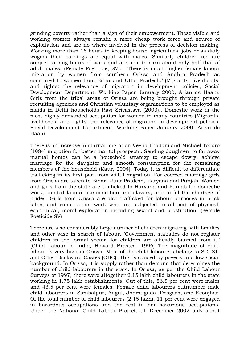grinding poverty rather than a sign of their empowerment. These visible and working women always remain a mere cheap work force and source of exploitation and are no where involved in the process of decision making. Working more than 16 hours in keeping house, agricultural jobs or as daily wagers their earnings are equal with males. Similarly children too are subject to long hours of work and are able to earn about only half that of adult males. (Female Foeticide, SV). 'There is much higher female labour migration by women from southern Orissa and Andhra Pradesh as compared to women from Bihar and Uttar Pradesh.' (Migrants, livelihoods, and rights: the relevance of migration in development policies, Social Development Department, Working Paper January 2000, Arjan de Haan). Girls from the tribal areas of Orissa are being brought through private recruiting agencies and Christian voluntary organizations to be employed as maids in Delhi households Ravi Srivastava (2003),. Domestic work is the most highly demanded occupation for women in many countries (Migrants, livelihoods, and rights: the relevance of migration in development policies. Social Development Department, Working Paper January 2000, Arjan de Haan)

There is an increase in marital migration Veena Thadani and Michael Todaro (1984) migration for better marital prospects. Sending daughters to far away marital homes can be a household strategy to escape dowry, achieve marriage for the daughter and smooth consumption for the remaining members of the household (Kaur, 2004). Today it is difficult to differentiate trafficking in its first part from wilful migration. For coerced marriage girls from Orissa are taken to Bihar, Uttar Pradesh, Haryana and Punjab. Women and girls from the state are trafficked to Haryana and Punjab for domestic work, bonded labour like condition and slavery, and to fill the shortage of brides. Girls from Orissa are also trafficked for labour purposes in brick kilns, and construction work who are subjected to all sort of physical, economical, moral exploitation including sexual and prostitution. (Female Foeticide SV)

There are also considerably large number of children migrating with families and other wise in search of labour. 'Government statistics do not register children in the formal sector, for children are officially banned from it.' (Child Labour in India, Howard Brasted, 1996) The magnitude of child labour is very high in Orissa. Most of the child labourers belong to SC, ST, and Other Backward Castes (OBC). This is caused by poverty and low social background. In Orissa, it is supply rather than demand that determines the number of child labourers in the state. In Orissa, as per the Child Labour Surveys of 1997, there were altogether 2.15 lakh child labourers in the state working in 1.75 lakh establishments. Out of this, 56.5 per cent were males and 43.5 per cent were females. Female child labourers outnumber male child labourers in Sambalpur, Angul, Jharsuguda, Deogarh, and Keonjhar. Of the total number of child labourers (2.15 lakh), 11 per cent were engaged in hazardous occupations and the rest in non-hazardous occupations. Under the National Child Labour Project, till December 2002 only about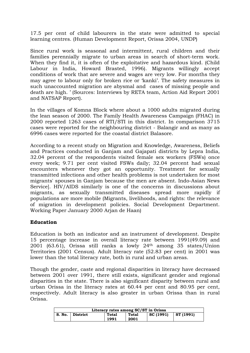17.5 per cent of child labourers in the state were admitted to special learning centres. (Human Development Report, Orissa 2004, UNDP)

Since rural work is seasonal and intermittent, rural children and their families perennially migrate to urban areas in search of short-term work. When they find it, it is often of the exploitative and hazardous kind. (Child Labour in India, Howard Brasted, 1996). Migrants willingly accept conditions of work that are severe and wages are very low. For months they may agree to labour only for broken rice or 'kanki'. The safety measures in such unaccounted migration are abysmal and cases of missing people and death are high. ' (Sources: Interviews by RETA team, Action Aid Report 2001 and NATSAP Report).

In the villages of Komna Block where about a 1000 adults migrated during the lean season of 2000. The Family Health Awareness Campaign (FHAC) in 2000 reported 1263 cases of RTI/STI in this district. In comparison 3715 cases were reported for the neighbouring district - Balangir and as many as 6996 cases were reported for the coastal district Balasore.

According to a recent study on Migration and Knowledge, Awareness, Beliefs and Practices conducted in Ganjam and Gajapati districts by Lepra India, 32.04 percent of the respondents visited female sex workers (FSWs) once every week; 9.71 per cent visited FSWs daily; 32.04 percent had sexual encounters whenever they got an opportunity. Treatment for sexually transmitted infections and other health problems is not undertaken for most migrants' spouses in Ganjam because the men are absent. Indo-Asian News Service]. HIV/AIDS similarly is one of the concerns in discussions about migrants, as sexually transmitted diseases spread more rapidly if populations are more mobile (Migrants, livelihoods, and rights: the relevance of migration in development policies. Social Development Department. Working Paper January 2000 Arjan de Haan)

#### **Education**

Education is both an indicator and an instrument of development. Despite 15 percentage increase in overall literacy rate between 1991(49.09) and 2001 (63.61), Orissa still ranks a lowly 24th among 35 states/Union Territories (2001 Census). Adult literacy rate (52.83 per cent) in 2001 was lower than the total literacy rate, both in rural and urban areas.

Though the gender, caste and regional disparities in literacy have decreased between 2001 over 1991, there still exists, significant gender and regional disparities in the state. There is also significant disparity between rural and urban Orissa in the literacy rates at 60.44 per cent and 80.95 per cent, respectively. Adult literacy is also greater in urban Orissa than in rural Orissa.

| Literacy rates among SC/ST in Orissa |          |               |               |           |           |  |  |  |
|--------------------------------------|----------|---------------|---------------|-----------|-----------|--|--|--|
| S. No.                               | District | Total<br>1991 | Total<br>2001 | SC (1991) | ST (1991) |  |  |  |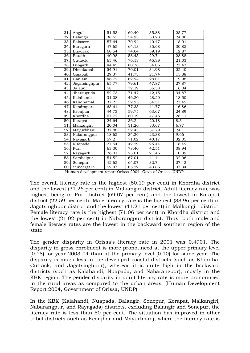| 31. | Angul           | 51.53 | 69.40 | 35.88 | 25.77 |
|-----|-----------------|-------|-------|-------|-------|
| 32. | Balangir        | 38.63 | 54.93 | 33.23 | 24.86 |
| 33. | <b>Balasore</b> | 57.64 | 70.94 | 40.47 | 18.91 |
| 34. | Baragarh        | 47.65 | 64.13 | 35.68 | 30.85 |
| 35. | Bhadrak         | 60.54 | 74.64 | 39.19 | 12.87 |
| 36. | Baudh           | 40.98 | 58.43 | 29.74 | 28.88 |
| 37. | Cuttack         | 65.46 | 76.13 | 45.39 | 21.03 |
| 38. | Deogarh         | 44.45 | 60.78 | 34.06 | 27.47 |
| 39. | Dhenkanal       | 54.91 | 70.01 | 34.98 | 22.40 |
| 40. | Gajapati        | 29.37 | 41.73 | 21.74 | 15.88 |
| 41. | Ganjam          | 46.72 | 62.94 | 28.01 | 19.98 |
| 42. | Jagatsinghpur   | 65.77 | 79.61 | 47.87 | 27.87 |
| 43. | Jajapur         | 58    | 72.19 | 35.53 | 16.04 |
| 44. | Jharsuguda      | 52.73 | 71.47 | 42,15 | 34.87 |
| 45. | Kalahandi       | 31.08 | 46.20 | 28.20 | 18.50 |
| 46. | Kandhamal       | 37.23 | 52.95 | 34.51 | 27.49 |
| 47. | Kendrapara      | 63.61 | 77.33 | 41.77 | 16.86 |
| 48. | Keonjhar        | 44.73 | 59.75 | 63.67 | 24.89 |
| 49. | Khordha         | 67.72 | 80.19 | 47.46 | 28.11 |
| 50. | Korapat         | 24.64 | 36.2  | 20.18 | 8.34  |
| 51. | Malkangiri      | 20.04 | 31.26 | 33.67 | 6.77  |
| 52. | Mayurbhanj      | 37.88 | 52.43 | 37.79 | 24.1  |
| 53. | Nabarangpur     | 18.62 | 34.26 | 23.38 | 9.66  |
| 54. | Nayagarh        | 57.2  | 71.02 | 40.17 | 32.05 |
| 55. | Nuapada         | 27.54 | 42.29 | 25.44 | 18.49 |
| 56. | Puri            | 63.30 | 78.40 | 42.51 | 38.94 |
| 57. | Rayagarh        | 26.01 | 25.61 | 21.46 | 10.39 |
| 58. | Sambalpur       | 51.52 | 67.01 | 41.44 | 32.06 |
| 59. | Sonepur         | 42.62 | 64.07 | 32.7  | 27.42 |
| 60. | Sundergarh      | 52.97 | 65.22 | 43.86 | 37.34 |
|     |                 |       |       |       |       |

Human development report Orissa 2004- Govt. of Orissa- UNDP.

The overall literacy rate is the highest (80.19 per cent) in Khordha district and the lowest (31.26 per cent) in Malkangiri district. Adult literacy rate was highest being in Puri district (69.07 per cent) and the lowest in Koraput district (22.59 per cent). Male literacy rate is the highest (88.96 per cent) in Jagatsinghpur district and the lowest (41.21 per cent) in Malkangiri district. Female literacy rate is the highest (71.06 per cent) in Khordha district and the lowest (21.02 per cent) in Nabarangpur district. Thus, both male and female literacy rates are the lowest in the backward southern region of the state.

The gender disparity in Orissa's literacy rate in 2001 was 0.4901. The disparity in gross enrolment is more pronounced at the upper primary level (0.18) for year 2003-04 than at the primary level (0.10) for same year. The disparity is much less in the developed coastal districts (such as Khordha, Cuttack, and Jagatsinghpur), whereas it is quite high in the backward districts (such as Kalahandi, Nuapada, and Nabarangpur), mostly in the KBK region. The gender disparity in adult literacy rate is more pronounced in the rural areas as compared to the urban areas. (Human Development Report 2004, Government of Orissa, UNDP)

In the KBK (Kalahandi, Nuapada, Balangir, Sonepur, Korapat, Malkangiri, Nabarangpur, and Rayagada) districts, excluding Balangir and Sonepur, the literacy rate is less than 50 per cent. The situation has improved in other tribal districts such as Keonjhar and Mayurbhanj, where the literacy rate is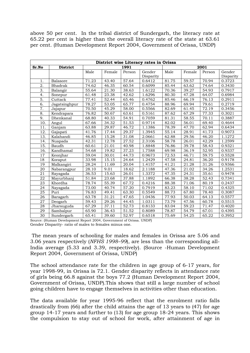above 50 per cent. In the tribal district of Sundergarh, the literacy rate at 65.22 per cent is higher than the overall literacy rate of the state at 63.61 per cent. (Human Development Report 2004, Government of Orissa, UNDP)

|                  | District wise Literacy rates in Orissa |       |        |                    |           |       |        |        |           |  |  |
|------------------|----------------------------------------|-------|--------|--------------------|-----------|-------|--------|--------|-----------|--|--|
| Sr.No            | <b>District</b>                        |       |        | 1991               |           |       |        | 2001   |           |  |  |
|                  |                                        | Male  | Female | Person             | Gender    | Male  | Female | Person | Gender    |  |  |
|                  |                                        |       |        |                    | Disparity |       |        |        | Disparity |  |  |
| 1.               | Balasore                               | 71.23 | 43.40  | 57.64              | 0.6412    | 81.75 | 59.57  | 70.94  | 0.3723    |  |  |
| 2.               | <b>Bhadrak</b>                         | 74.62 | 46.35  | 60.54              | 0.6099    | 85.44 | 63.62  | 74.64  | 0.3430    |  |  |
| $\overline{3}$ . | Balangir                               | 55.64 | 21.30  | 38.63              | 1.6122    | 70.36 | 39.27  | 54.93  | 0.7917    |  |  |
| 4.               | Sonepur                                | 61.48 | 23.38  | 42.62              | 1.6296    | 80.30 | 47.28  | 64.07  | 0.6984    |  |  |
| 5.               | Cuttack                                | 77.41 | 52.44  | 65.46              | 0.4762    | 85.46 | 66.19  | 76.13  | 0.2911    |  |  |
| 6.               | Jagatsinghpur                          | 78.27 | 53.05  | 65.77              | 0.4754    | 88.96 | 69.94  | 79.61  | 0.2719    |  |  |
| 7.               | Jajapur                                | 70.50 | 45.29  | 58.00              | 0.5566    | 82.69 | 61.45  | 72.19  | 0.3456    |  |  |
| 8.               | Kendrapara                             | 76.82 | 50.67  | 63.61              | 0.5161    | 87.62 | 67.29  | 77.33  | 0.3021    |  |  |
| 9.               | Dhenkanal                              | 68.80 | 40.33  | 54.91              | 0.7059    | 81.31 | 58.55  | 70.11  | 0.3887    |  |  |
| 10.              | Angul                                  | 67.66 | 34.32  | 51.53              | 0.9714    | 82.02 | 56.01  | 69.40  | 0.4644    |  |  |
| 11.              | Ganjam                                 | 63.88 | 29.87  | 46.72              | 1.1386    | 78.39 | 47.70  | 62.94  | 0.6434    |  |  |
| 12.              | Gajapati                               | 41.76 | 17.44  | 29.37              | 1.3945    | 55.14 | 28.91  | 41.73  | 0.9073    |  |  |
| 13.              | Kalahandi                              | 46.85 | 15.28  | 31.08              | 2.0661    | 62.88 | 29.56  | 46.20  | 1.1272    |  |  |
| 14.              | Nuapada                                | 42.31 | 12.78  | 27.52              | 2.3106    | 58.78 | 26.01  | 42.29  | 1.2599    |  |  |
| 15.              | Baudh                                  | 60.61 | 21.01  | 40.98              | 1.8848    | 76.86 | 39.78  | 58.43  | 0.9321    |  |  |
| 16.              | Kandhamal                              | 54.68 | 19.82  | 37.23              | 1.7588    | 69.98 | 36.19  | 52.95  | 0.9337    |  |  |
| 17               | Keonihar                               | 59.04 | 30.01  | 44.73              | 0.9673    | 72.53 | 46.71  | 59.75  | 0.5528    |  |  |
| 18               | Koraput                                | 33.98 | 15.15  | 24.64              | 1.2429    | 47.58 | 24.81  | 36.20  | 0.9178    |  |  |
| 19               | Malkangiri                             | 28.24 | 11.69  | 20.04              | 1.4157    | 41.21 | 21.28  | 31.26  | 0.9366    |  |  |
| 20               | Nabarangpur                            | 28.10 | 9.01   | 18.62              | 2.1188    | 47.36 | 21.02  | 34.26  | 1.2531    |  |  |
| 21               | Rayagada                               | 36.53 | 15.63  | $\overline{2}6.01$ | 1.3372    | 47.35 | 24.31  | 35.61  | 0.9478    |  |  |
| 22               | Mayurbhanj                             | 51.84 | 23.68  | 37.88              | 1.1892    | 66.38 | 38.28  | 52.43  | 0.7341    |  |  |
| 23               | Khordha                                | 78.74 | 55.39  | 67.72              | 0.4216    | 88.38 | 71.06  | 80.19  | 0.2437    |  |  |
| 24               | Nayagada                               | 73.00 | 40.74  | 57.20              | 0.7919    | 83.23 | 58.10  | 71.02  | 0.4325    |  |  |
| 25               | Puri                                   | 76.83 | 49.41  | 63.30              | 0.5549    | 88.73 | 67.80  | 78.40  | 0.3087    |  |  |
| 26               | Baragarh                               | 63.78 | 31.21  | 47.65              | 1.0436    | 77.93 | 50.03  | 64.13  | 0.5577    |  |  |
| 27               | Deogarh                                | 59.43 | 29.26  | 44.45              | 1.0311    | 73.79 | 47.56  | 60.78  | 0.5515    |  |  |
| 28               | Jharsuguda                             | 67.29 | 37.11  | 52.73              | 0.8133    | 83.04 | 59.23  | 71.47  | 0.4020    |  |  |
| 29               | Sambalpur                              | 65.90 | 36.43  | 51.52              | 0.8089    | 78.87 | 54.79  | 67.01  | 0.4395    |  |  |
| 30               | Sundergarh                             | 65.41 | 39.60  | 52.97              | 0.6518    | 75.69 | 54.25  | 65.22  | 0.3952    |  |  |

Source: (Human Development Report 2004, Government of Orissa. UNDP) Gender Disparity- ratio of males to females minus one.

 The mean years of schooling for males and females in Orissa are 5.06 and 3.06 years respectively (*NFHS 1998–99*), are less than the corresponding all-India average (5.33 and 3.39, respectively). (Source -Human Development Report 2004, Government of Orissa, UNDP)

The school attendance rate for the children in age group of 6-17 years, for year 1998-99, in Orissa is 72.1. Gender disparity reflects in attendance rate of girls being 66.8 against the boys 77.2 (Human Development Report 2004, Government of Orissa, UNDP).This shows that still a large number of school going children have to engage themselves in activities other than education.

The data available for year 1995-96 reflect that the enrolment ratio falls drastically from (66) after the child attains the age of 13 years to (47) for age group 14-17 years and further to (13) for age group 18-24 years. This shows the compulsion to stay out of school for work, after attainment of age in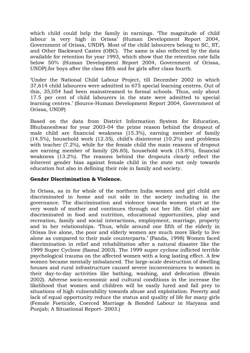which child could help the family in earnings. The magnitude of child labour is very high in Orissa' (Human Development Report 2004, Government of Orissa, UNDP). Most of the child labourers belong to SC, ST, and Other Backward Castes (OBC). The same is also reflected by the data available for retention for year 1993, which show that the retention rate falls below 50% (Human Development Report 2004, Government of Orissa, UNDP).for boys after the class fifth and for girls after class fourth.

'Under the National Child Labour Project, till December 2002 in which 37,614 child labourers were admitted in 675 special learning centres. Out of this, 35,054 had been mainstreamed to formal schools. Thus, only about 17.5 per cent of child labourers in the state were admitted to special learning centres.' (Source-Human Development Report 2004, Government of Orissa, UNDP)

Based on the data from District Information System for Education, Bhubaneshwar for year 2003-04 the prime reason behind the dropout of male child are financial weakness (15.3%), earning member of family (14.5%), household work (12.35), child's disinterest (10.2%) and problems with teacher (7.2%), while for the female child the main reasons of dropout are earning member of family (26.85), household work (15.8%), financial weakness (13.2%). The reasons behind the dropouts clearly reflect the inherent gender bias against female child in the state not only towards education but also in defining their role in family and society.

#### **Gender Discrimination & Violence.**

In Orissa, as in for whole of the northern India women and girl child are discriminated in home and out side in the society including in the governance. The discrimination and violence towards women start at the very womb of mother and continues through out her life. Girl child are discriminated in food and nutrition, educational opportunities, play and recreation, family and social interactions, employment, marriage, property and in her relationships. 'Thus, while around one fifth of the elderly in Orissa live alone, the poor and elderly women are much more likely to live alone as compared to their male counterparts.' (Panda, 1998) Women faced discrimination in relief and rehabilitation after a natural disaster like the 1999 Super Cyclone (Samal 2003). The 1999 super cyclone inflicted terrible psychological trauma on the affected women with a long lasting effect. A few women became mentally imbalanced. The large-scale destruction of dwelling houses and rural infrastructure caused severe inconveniences to women in their day-to-day activities like bathing, washing, and defecation (Swain 2002). Adverse socio-economic and cultural conditions in the increase the likelihood that women and children will be easily lured and fall prey to situations of high vulnerability towards abuse and exploitation. Poverty and lack of equal opportunity reduce the status and quality of life for many girls (Female Foeticide, Coerced Marriage & Bonded Labour in Haryana and Punjab; A Situational Report- 2003.)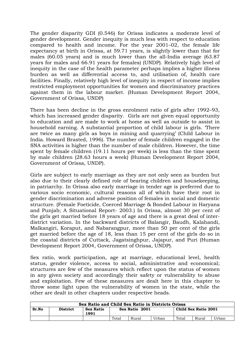The gender disparity GDI (0.546) for Orissa indicates a moderate level of gender development. Gender inequity is much less with respect to education compared to health and income. For the year 2001–02, the female life expectancy at birth in Orissa, at 59.71 years, is slightly lower than that for males (60.05 years) and is much lower than the all-India average (63.87 years for males and 66.91 years for females) (UNDP). Relatively high level of inequity in the case of the health parameter perhaps implies a higher illness burden as well as differential access to, and utilisation of, health care facilities. Finally, relatively high level of inequity in respect of income implies restricted employment opportunities for women and discriminatory practices against them in the labour market. (Human Development Report 2004, Government of Orissa, UNDP)

There has been decline in the gross enrolment ratio of girls after 1992–93, which has increased gender disparity. Girls are not given equal opportunity to education and are made to work at home as well as outside to assist in household earning. A substantial proportion of child labour is girls. 'There are twice as many girls as boys in mining and quarrying' (Child Labour in India. Howard Brasted, 1996). The number of female children engaged in the SNA activities is higher than the number of male children. However, the time spent by female children (19.11 hours per week) is less than the time spent by male children (28.63 hours a week) (Human Development Report 2004, Government of Orissa, UNDP).

Girls are subject to early marriage as they are not only seen as burden but also due to their clearly defined role of bearing children and housekeeping, in patriarchy. In Orissa also early marriage in tender age is preferred due to various socio economic, cultural reasons all of which have their root in gender discrimination and adverse position of females in social and domestic structure. (Female Foeticide, Coerced Marriage & Bonded Labour in Haryana and Punjab; A Situational Report- 2003.) In Orissa, almost 30 per cent of the girls get married before 18 years of age and there is a great deal of interdistrict variation. In the backward districts of Balangir, Baudh, Kalahandi, Malkangiri, Koraput, and Nabarangpur, more than 50 per cent of the girls get married before the age of 18, less than 15 per cent of the girls do so in the coastal districts of Cuttack, Jagatsinghpur, Jajapur, and Puri (Human Development Report 2004, Government of Orissa, UNDP).

Sex ratio, work participation, age at marriage, educational level, health status, gender violence, access to social, administrative and economical; structures are few of the measures which reflect upon the status of women in any given society and accordingly their safety or vulnerability to abuse and exploitation. Few of these measures are dealt here in this chapter to throw some light upon the vulnerability of women in the state, while the other are dealt in other chapters under respective heads.

| Sex Ratio and Child Sex Ratio in Districts Orissa |                 |                   |                |       |       |                      |       |       |
|---------------------------------------------------|-----------------|-------------------|----------------|-------|-------|----------------------|-------|-------|
| Sr.No                                             | <b>District</b> | Sex Ratio<br>1991 | Sex Ratio 2001 |       |       | Child Sex Ratio 2001 |       |       |
|                                                   |                 |                   | Total          | Rural | Urban | Total                | Rural | Urban |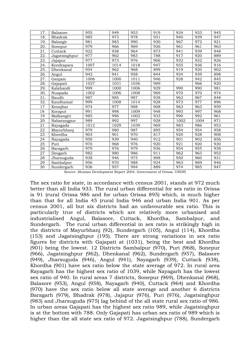| 17. | Balasore       | 955  | 949  | 953  | 919 | 934  | 933  | 945 |
|-----|----------------|------|------|------|-----|------|------|-----|
| 18. | <b>Bhadrak</b> | 985  | 973  | 978  | 931 | 940  | 939  | 947 |
| 19. | Balangir       | 981  | 983  | 990  | 930 | 967  | 972  | 921 |
| 20. | Sonepur        | 979  | 966  | 969  | 926 | 961  | 961  | 963 |
| 21. | Cuttack        | 922  | 938  | 964  | 873 | 941  | 939  | 948 |
| 22. | Jagatsinghpur  | 977  | 962  | 983  | 788 | 917  | 920  | 889 |
| 23. | Jajapur        | 977  | 973  | 976  | 906 | 932  | 932  | 926 |
| 24. | Kendrapara     | 1007 | 1014 | 1018 | 947 | 935  | 936  | 916 |
| 25. | Dhenkanal      | 954  | 962  | 968  | 899 | 919  | 920  | 902 |
| 26. | Angul          | 942  | 941  | 958  | 844 | 934  | 939  | 898 |
| 27. | Ganjam         | 1006 | 1000 | 1011 | 946 | 928  | 942  | 845 |
| 28. | Gajapati       | 1027 | 1031 | 1036 | 989 |      | 966  | 920 |
| 29. | Kalahandi      | 999  | 1000 | 1006 | 929 | 990  | 990  | 981 |
| 30. | Nuapada        | 1002 | 1006 | 1008 | 969 | 970  | 970  | 974 |
| 31. | Baudh          | 987  | 985  | 987  | 938 | 962  | 967  | 848 |
| 32. | Kandhamal      | 999  | 1008 | 1014 | 928 | 973  | 977  | 896 |
| 17  | Keonjhar       | 974  | 977  | 988  | 908 | 963  | 963  | 959 |
| 18  | Koraput        | 991  | 998  | 1009 | 948 | 993  | 997  | 968 |
| 19  | Malkangiri     | 985  | 996  | 1002 | 933 | 990  | 992  | 961 |
| 20  | Nabarangpur    | 989  | 992  | 997  | 928 | 1002 | 1004 | 971 |
| 21  | Rayagada       | 1012 | 1029 | 1039 | 969 | 983  | 986  | 953 |
| 22  | Mayurbhanj     | 979  | 980  | 987  | 895 | 954  | 954  | 958 |
| 23  | Khordha        | 903  | 901  | 970  | 817 | 920  | 928  | 908 |
| 24  | Nayagada       | 958  | 939  | 940  | 912 | 901  | 902  | 856 |
| 25  | Puri           | 970  | 968  | 976  | 920 | 921  | 920  | 930 |
| 26  | Baragarh       | 979  | 976  | 979  | 936 | 954  | 955  | 938 |
| 27  | Deogarh        | 982  | 980  | 986  | 911 | 962  | 963  | 952 |
| 28  | Jharsuguda     | 938  | 946  | 975  | 898 | 950  | 960  | 931 |
| 29  | Sambalpur      | 956  | 970  | 988  | 924 | 963  | 969  | 946 |
| 30  | Sundergarh     | 936  | 957  | 994  | 889 | 974  | 985  | 947 |

Source: (Human Development Report 2004, Government of Orissa. UNDP)

The sex ratio for state, in accordance with census 2001, stands at 972 much better than all India 933. The rural urban differential for sex ratio in Orissa is 91 (rural Orissa 986 and for urban Orissa 895) which, is much higher than that for all India 45 (rural India 946 and urban India 901. As per census 2001, all but six districts had an unfavourable sex ratio. This is particularly true of districts which are relatively more urbanised and industrialised Angul, Balasore, Cuttack, Khordha, Sambalpur, and Sundergarh. The rural urban differential in sex ratio is strikingly high in the districts of Mayurbhanj (92), Sundergarh (105), Angul (114), Khordha (153) and Jagatsinghpur (195). There are strong variations in sex ratio figures for districts with Gajapati at (1031), being the best and Khordha (901) being the lowest. 12 Districts Sambalpur (970), Puri (968), Sonepur (966), Jagatsinghpur (962), Dhenkanal (962), Sundergarh (957), Balasore (949), Jharsuguda (946), Angul (941), Nayagarh (939), Cuttack (938), Khordha (901) have sex ratio below the state average of 972. In rural area Rayagarh has the highest sex ratio of 1039, while Nayagarh has the lowest sex ratio of 940. In rural areas 7 districts, Sonepur (969), Dhenkanal (968), Balasore (953), Angul (958), Nayagarh (940), Cuttack (964) and Khordha (970) have the sex ratio below all state average and another 6 districts Baragarh (979), Bhadrak (978), Jajapur (976), Puri (976), Jagatsinghpur (983) and Jharsuguda (975) lag behind of the all state rural sex ratio of 986. In urban areas Gajapati has the highest sex ratio 989, while Jagatsinghpur is at the bottom with 788. Only Gajapati has urban sex ratio of 989 which is higher than the all state sex ratio of 972. Jagatsinghpur (788), Sundergarh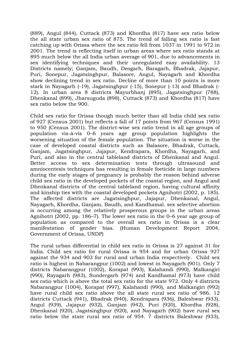(889), Angul (844), Cuttack (873) and Khordha (817) have sex ratio below the all state urban sex ratio of 875. The trend of falling sex ratio is fast catching up with Orissa where the sex ratio fell from 1037 in 1991 to 972 in 2001. The trend is reflecting itself in urban areas where sex ratio stands at 895 much below the all India urban average of 901, due to advancements in sex identifying techniques and their unregulated easy availability. 13 Districts namely; Ganjam, Baudh, Deogarh, Baragarh, Bhadrak, Jajapur, Puri, Sonepur, Jagatsinghpur, Balasore, Angul, Nayagarh and Khordha show declining trend in sex ratio. Decline of more than 10 points is more stark in Nayagarh (-19), Jagatsinghpur (-15), Sonepur (-13) and Bhadrak (- 12). In urban area 8 districts Mayurbhanj (895), Jagatsinghpur (788), Dhenkanal (899), Jharsuguda (898), Cuttack (873) and Khordha (817) have sex ratio below the 900.

Child sex ratio for Orissa though much better than all India child sex ratio of 927 (Census 2001) but reflects a fall of 17 points from 967 (Census 1991) to 950 (Census 2001). The district-wise sex ratio trend in all age groups of population vis-à-vis 0–6 years age group population highlights the worsening situation of the female population. The situation is worse in the case of developed coastal districts such as Balasore, Bhadrak, Cuttack, Ganjam, Jagatsinghpur, Jajapur, Kendrapara, Khordha, Nayagarh, and Puri, and also in the central tableland districts of Dhenkanal and Angul. Better access to sex determination tests through ultrasound and amniocentesis techniques has resulting in female foeticide in large numbers during the early stages of pregnancy is probably the reason behind adverse child sex ratio in the developed pockets of the coastal region, and Angul and Dhenkanal districts of the central tableland region, having cultural affinity and kinship ties with the coastal developed pockets Agnihotri (2002, p. 185). The affected districts are Jagatsinghpur, Jajapur, Dhenkanal, Angul, Nayagarh, Khordha, Ganjam, Baudh, and Kandhamal. sex selective abortion is occurring among the relatively prosperous groups in the urban areas Agnihotri (2002, pp. 186–7). The lower sex ratio in the 0–6 year age group of population as compared to the overall sex ratio in Orissa is a clear manifestation of gender bias. (Human Development Report 2004, Government of Orissa, UNDP)

The rural urban differential in child sex ratio in Orissa is 27 against 31 for India. Child sex ratio for rural Orissa is 954 and for urban Orissa 927 against the 934 and 903 for rural and urban India respectively. Child sex ratio is highest in Nabarangpur (1002) and lowest in Nayagarh (901). Only 7 districts Nabarangpur (1002), Korapat (993), Kalahandi (990), Malkangiri (990), Rayagarh (983), Sundergarh (974) and Kandhamal (973) have child sex ratio which is above the total sex ratio for the state 972. Only 4 districts Nabarangpur (1004), Korapat (997), Kalahandi (990), and Malkangiri (992) have rural child sex ratio above the all state rural sex ratio of 986. 12 districts Cuttack (941), Bhadrak (940), Kendrapara (936), Baleshwar (933), Angul (939), Jajapur (932), Ganjam (942), Puri (920), Khordha (928), Dhenkanal (920), Jagatsinghpur (920), and Nayagarh (902) have rural sex ratio below the state rural sex ratio of 954. 7 districts Baleshwar (933),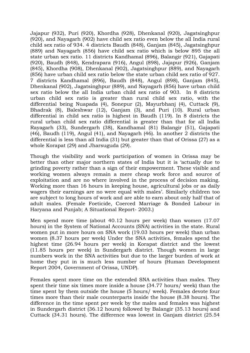Jajapur (932), Puri (920), Khordha (928), Dhenkanal (920), Jagatsinghpur (920), and Nayagarh (902) have child sex ratio even below the all India rural child sex ratio of 934. 4 districts Baudh (848), Ganjam (845), Jagatsinghpur (889) and Nayagarh (856) have child sex ratio which is below 895 the all state urban sex ratio. 11 districts Kandhamal (896), Balangir (921), Gajapati (920), Baudh (848), Kendrapara (916), Angul (898), Jajapur (926), Ganjam (845), Khordha (908), Dhenkanal (902), Jagatsinghpur (889), and Nayagarh (856) have urban child sex ratio below the state urban child sex ratio of 927. 7 districts Kandhamal (896), Baudh (848), Angul (898), Ganjam (845), Dhenkanal (902), Jagatsinghpur (889), and Nayagarh (856) have urban child sex ratio below the all India urban child sex ratio of 903. In 8 districts urban child sex ratio is greater than rural child sex ratio, with the differential being Nuapada (4), Sonepur (2), Mayurbhanj (4), Cuttack (9), Bhadrak (8), Baleshwar (12), Ganjam (3), and Puri (10). Rural urban differential in child sex ratio is highest in Baudh (119). In 8 districts the rural urban child sex ratio differential is greater than that for all India Rayagarh (33), Sundergarh (38), Kandhamal (81) Balangir (51), Gajapati (46), Baudh (119), Angul (41), and Nayagarh (46). In another 2 districts the differential is less than all India (31) but greater than that of Orissa (27) as a whole Korapat (29) and Jharsuguda (29).

Though the visibility and work participation of women in Orissa may be better than other major northern states of India but it is 'actually due to grinding poverty rather than a sign of their empowerment. These visible and working women always remain a mere cheap work force and source of exploitation and are no where involved in the process of decision making. Working more than 16 hours in keeping house, agricultural jobs or as daily wagers their earnings are no were equal with males'. Similarly children too are subject to long hours of work and are able to earn about only half that of adult males. (Female Foeticide, Coerced Marriage & Bonded Labour in Haryana and Punjab; A Situational Report- 2003.)

Men spend more time (about 40.12 hours per week) than women (17.07 hours) in the System of National Accounts (SNA) activities in the state. Rural women put in more hours on SNA work (19.03 hours per week) than urban women (8.37 hours per week) Under the SNA activities, females spend the highest time (26.94 hours per week) in Korapat district and the lowest (11.85 hours per week) in Sundergarh district. Though women in large numbers work in the SNA activities but due to the larger burden of work at home they put in is much less number of hours (Human Development Report 2004, Government of Orissa, UNDP).

Females spent more time on the extended SNA activities than males. They spent their time six times more inside a house (34.77 hours/ week) than the time spent by them outside the house (5 hours/ week). Females devote four times more than their male counterparts inside the house (8.38 hours). The difference in the time spent per week by the males and females was highest in Sundergarh district (36.12 hours) followed by Balangir (35.13 hours) and Cuttack (34.31 hours). The difference was lowest in Ganjam district (25.54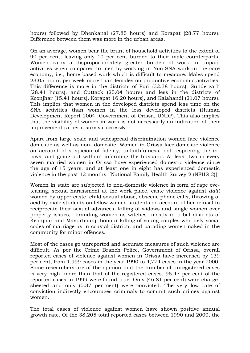hours) followed by Dhenkanal (27.85 hours) and Korapat (28.77 hours). Difference between them was more in the urban areas.

On an average, women bear the brunt of household activities to the extent of 90 per cent, leaving only 10 per cent burden to their male counterparts. Women carry a disproportionately greater burden of work in unpaid activities when compared to men by working in Non-SNA work in the care economy, i.e., home based work which is difficult to measure. Males spend 23.05 hours per week more than females on productive economic activities. This difference is more in the districts of Puri (32.38 hours), Sundergarh (28.41 hours), and Cuttack (25.04 hours) and less in the districts of Keonjhar (15.41 hours), Korapat 16.20 hours), and Kalahandi (21.07 hours). This implies that women in the developed districts spend less time on the SNA activities than women in the less developed districts (Human Development Report 2004, Government of Orissa, UNDP). This also implies that the visibility of women in work is not necessarily an indication of their improvement rather a survival necessity.

Apart from large scale and widespread discrimination women face violence domestic as well as non- domestic. Women in Orissa face domestic violence on account of suspicion of fidelity, unfaithfulness, not respecting the inlaws, and going out without informing the husband. At least two in every seven married women in Orissa have experienced domestic violence since the age of 15 years, and at least one in eight has experienced domestic violence in the past 12 months. [National Family Health Survey-2 (NFHS-2)]

Women in state are subjected to non-domestic violence in form of rape eveteasing, sexual harassment at the work place, caste violence against *dalit*  women by upper caste, child sexual abuse, obscene phone calls, throwing of acid by male students on fellow women students on account of her refusal to reciprocate their sexual advances, killing of widows and single women over property issues, branding women as witches- mostly in tribal districts of Keonjhar and Mayurbhanj, honour killing of young couples who defy social codes of marriage as in coastal districts and parading women naked in the community for minor offences.

Most of the cases go unreported and accurate measures of such violence are difficult. As per the Crime Branch Police, Government of Orissa, overall reported cases of violence against women in Orissa have increased by 139 per cent, from 1,999 cases in the year 1990 to 4,774 cases in the year 2000. Some researchers are of the opinion that the number of unregistered cases is very high, more than that of the registered cases. 95.47 per cent of the reported cases in 1999 were found true. Only (46.81 per cent) were chargesheeted and only (0.37 per cent) were convicted. The very low rate of conviction indirectly encourages criminals to commit such crimes against women.

The total cases of violence against women have shown positive annual growth rate. Of the 38,205 total reported cases between 1990 and 2000, the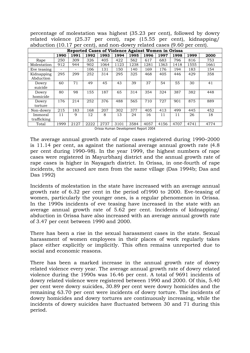percentage of molestation was highest (35.23 per cent), followed by dowry related violence (25.37 per cent), rape (15.55 per cent), kidnapping/ abduction (10.17 per cent), and non-dowry related cases (9.60 per cent).

|                         | Reported Cases of Violence Against Women in Orissa |      |      |      |      |      |      |      |      |      |      |  |
|-------------------------|----------------------------------------------------|------|------|------|------|------|------|------|------|------|------|--|
|                         | 1990                                               | 1991 | 1992 | 1993 | 1994 | 1995 | 1996 | 1997 | 1998 | 1999 | 2000 |  |
| Rape                    | 250                                                | 309  | 326  | 405  | 422  | 562  | 617  | 683  | 796  | 816  | 753  |  |
| Molestation             | 912                                                | 944  | 902  | 1064 | 1123 | 1238 | 1281 | 1363 | 1418 | 1555 | 1661 |  |
| Eve teasing             | Ξ.                                                 | -    | 106  | 131  | 150  | 140  | 169  | 176  | 194  | 183  | 154  |  |
| Kidnapping<br>Abduction | 295                                                | 299  | 252  | 314  | 295  | 325  | 468  | 405  | 446  | 429  | 358  |  |
| Dowry<br>suicide        | 60                                                 | 71   | 49   | 45   | 43   | 39   | 37   | 54   | 55   | 30   | 41   |  |
| Dowry<br>homicide       | 80                                                 | 98   | 155  | 187  | 65   | 314  | 354  | 324  | 387  | 382  | 448  |  |
| Dowry<br>torture        | 176                                                | 214  | 252  | 376  | 488  | 565  | 710  | 727  | 901  | 875  | 889  |  |
| Non-dowry               | 215                                                | 183  | 168  | 207  | 302  | 377  | 405  | 413  | 499  | 445  | 452  |  |
| Immoral<br>trafficking  | 11                                                 | 9    | 12   | 8    | 13   | 24   | 16   | 11   | 11   | 26   | 18   |  |
| Total                   | 1999                                               | 2127 | 2222 | 2737 | 3101 | 3584 | 4057 | 4156 | 4707 | 4741 | 4774 |  |

Orissa Human Development Report 2004

The average annual growth rate of rape cases registered during 1990–2000 is 11.14 per cent, as against the national average annual growth rate (4.8 per cent during 1990–98). In the year 1999, the highest numbers of rape cases were registered in Mayurbhanj district and the annual growth rate of rape cases is higher in Nayagarh district. In Orissa, in one-fourth of rape incidents, the accused are men from the same village (Das 1994b; Das and Das 1992)

Incidents of molestation in the state have increased with an average annual growth rate of 6.32 per cent in the period of1990 to 2000. Eve-teasing of women, particularly the younger ones, is a regular phenomenon in Orissa. In the 1990s incidents of eve teasing have increased in the state with an average annual growth rate of 5.62 per cent. Incidents of kidnapping/ abduction in Orissa have also increased with an average annual growth rate of 3.47 per cent between 1990 and 2000.

There has been a rise in the sexual harassment cases in the state. Sexual harassment of women employees in their places of work regularly takes place either explicitly or implicitly. This often remains unreported due to social and economic reasons.

There has been a marked increase in the annual growth rate of dowry related violence every year. The average annual growth rate of dowry related violence during the 1990s was 16.46 per cent. A total of 9691 incidents of dowry related violence were registered between 1990 and 2000. Of this, 5.40 per cent were dowry suicides, 30.89 per cent were dowry homicides and the remaining 63.70 per cent were incidents of dowry torture. The incidents of dowry homicides and dowry tortures are continuously increasing, while the incidents of dowry suicides have fluctuated between 30 and 71 during this period.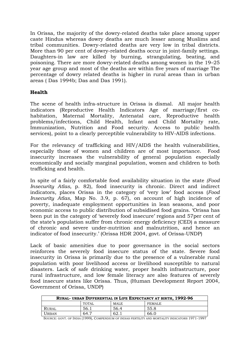In Orissa, the majority of the dowry-related deaths take place among upper caste Hindus whereas dowry deaths are much lesser among Muslims and tribal communities. Dowry-related deaths are very low in tribal districts. More than 90 per cent of dowry-related deaths occur in joint-family settings. Daughters-in law are killed by burning, strangulating, beating, and poisoning. There are more dowry-related deaths among women in the 19–25 year age group and most of the deaths are within five years of marriage The percentage of dowry related deaths is higher in rural areas than in urban areas ( Das 1994b; Das and Das 1991).

#### **Health**

The scene of health infra-structure in Orissa is dismal. All major health indicators (Reproductive Health Indicators Age of marriage/first cohabitation, Maternal Mortality, Antenatal care, Reproductive health problems/infections, Child Health, Infant and Child Mortality rate, Immunization, Nutrition and Food security. Access to public health services), point to a clearly perceptible vulnerability to HIV-AIDS infections.

For the relevancy of trafficking and HIV/AIDS the health vulnerabilities, especially those of women and children are of most importance. Food insecurity increases the vulnerability of general population especially economically and socially marginal population, women and children to both trafficking and health.

In spite of a fairly comfortable food availability situation in the state *(Food Insecurity Atlas,* p. 82), food insecurity is chronic. Direct and indirect indicators, places Orissa in the category of 'very low' food access (*Food Insecurity Atlas*, Map No. 3.9, p. 67), on account of high incidence of poverty, inadequate employment opportunities in lean seasons, and poor economic access to public distribution of subsidised food grains. 'Orissa has been put in the category of 'severely food insecure' regions and 57per cent of the state's population suffer from chronic energy deficiency (CED) a measure of chronic and severe under-nutrition and malnutrition, and hence an indicator of food insecurity.' (Orissa HDR 2004, govt. of Orissa-UNDP)

Lack of basic amenities due to poor governance in the social sectors reinforces the severely food insecure status of the state. Severe food insecurity in Orissa is primarily due to the presence of a vulnerable rural population with poor livelihood access or livelihood susceptible to natural disasters. Lack of safe drinking water, proper health infrastructure, poor rural infrastructure, and low female literacy are also features of severely food insecure states like Orissa. Thus, (Human Development Report 2004, Government of Orissa, UNDP)

| RURAL- URBAN DIFFERENTIAL IN LIFE EXPECTANCY AT BIRTH, 1992-96 |       |       |               |  |  |  |  |
|----------------------------------------------------------------|-------|-------|---------------|--|--|--|--|
|                                                                | TOTAL | MALE  | <b>FEMALE</b> |  |  |  |  |
| Rural                                                          | 56.1  | 56.4  | 55.8          |  |  |  |  |
| <b>URBAN</b>                                                   | -64.7 | 62. . | 66.0          |  |  |  |  |

SOURCE: GOVT. OF INDIA (1999), COMPENDIUM OF INDIAS FERTILITY AND MORTALITY INDICATORS 1971-1997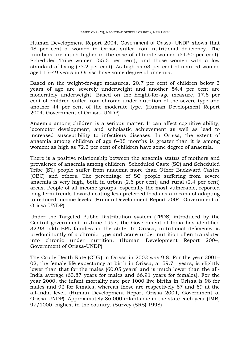Human Development Report 2004, Government of Orissa- UNDP shows that 48 per cent of women in Orissa suffer from nutritional deficiency. The numbers are much higher in the case of illiterate women (54.60 per cent), Scheduled Tribe women (55.5 per cent), and those women with a low standard of living (55.2 per cent). As high as 63 per cent of married women aged 15–49 years in Orissa have some degree of anaemia.

Based on the weight-for-age measures, 20.7 per cent of children below 3 years of age are severely underweight and another 54.4 per cent are moderately underweight. Based on the height-for-age measure, 17.6 per cent of children suffer from chronic under nutrition of the severe type and another 44 per cent of the moderate type. (Human Development Report 2004, Government of Orissa- UNDP)

Anaemia among children is a serious matter. It can affect cognitive ability, locomotor development, and scholastic achievement as well as lead to increased susceptibility to infectious diseases. In Orissa, the extent of anaemia among children of age 6–35 months is greater than it is among women: as high as 72.3 per cent of children have some degree of anaemia.

There is a positive relationship between the anaemia status of mothers and prevalence of anaemia among children. Scheduled Caste (SC) and Scheduled Tribe (ST) people suffer from anaemia more than Other Backward Castes (OBC) and others. The percentage of SC people suffering from severe anaemia is very high, both in urban (2.6 per cent) and rural (2.4 per cent) areas. People of all income groups, especially the most vulnerable, reported long-term trends towards eating less preferred foods as a means of adapting to reduced income levels. (Human Development Report 2004, Government of Orissa-UNDP)

Under the Targeted Public Distribution system (TPDS) introduced by the Central government in June 1997, the Government of India has identified 32.98 lakh BPL families in the state. In Orissa, nutritional deficiency is predominantly of a chronic type and acute under nutrition often translates into chronic under nutrition. (Human Development Report 2004, Government of Orissa-UNDP)

The Crude Death Rate (CDR) in Orissa in 2002 was 9.8. For the year 2001– 02, the female life expectancy at birth in Orissa, at 59.71 years, is slightly lower than that for the males (60.05 years) and is much lower than the all-India average (63.87 years for males and 66.91 years for females). For the year 2000, the infant mortality rate per 1000 live births in Orissa is 98 for males and 92 for females, whereas these are respectively 67 and 69 at the all-India level. (Human Development Report Orissa 2004, Government of Orissa-UNDP). Approximately 86,000 infants die in the state each year (IMR) 97/1000, highest in the country. (Survey (SRS) 1998)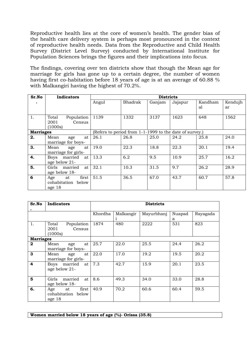Reproductive health lies at the core of women's health. The gender bias of the health care delivery system is perhaps most pronounced in the context of reproductive health needs. Data from the Reproductive and Child Health Survey (District Level Survey) conducted by International Institute for Population Sciences brings the figures and their implications into focus.

The findings, covering over ten districts show that though the Mean age for marriage for girls has gone up to a certain degree, the number of women having first co-habitation before 18 years of age is at an average of 60.88 % with Malkangiri having the highest of 70.2%.

| Sr.No            | <b>Indicators</b>     | <b>Districts</b>                                        |         |        |         |         |         |  |
|------------------|-----------------------|---------------------------------------------------------|---------|--------|---------|---------|---------|--|
|                  |                       | Angul                                                   | Bhadrak | Ganjam | Jajapur | Kandham | Kendujh |  |
|                  |                       |                                                         |         |        |         | al      | ar      |  |
| 1.               | Total<br>Population   | 1139                                                    | 1332    | 3137   | 1623    | 648     | 1562    |  |
|                  | 2001<br>Census        |                                                         |         |        |         |         |         |  |
|                  | (1000s)               |                                                         |         |        |         |         |         |  |
| <b>Marriages</b> |                       | (Refers to period from 1-1-1999 to the date of survey.) |         |        |         |         |         |  |
| 2.               | Mean<br>age<br>at     | 26.1                                                    | 26.8    | 25.0   | 24.2    | 25.8    | 24.0    |  |
|                  | marriage for boys-    |                                                         |         |        |         |         |         |  |
| 3.               | Mean<br>at<br>age     | 19.0                                                    | 22.3    | 18.8   | 22.3    | 20.1    | 19.4    |  |
|                  | marriage for girls-   |                                                         |         |        |         |         |         |  |
| 4.               | married<br>Boys<br>at | 13.3                                                    | 6.2     | 9.5    | 10.9    | 25.7    | 16.2    |  |
|                  | age below 21-         |                                                         |         |        |         |         |         |  |
| 5.               | Girls married<br>at   | 32.1                                                    | 10.3    | 31.5   | 9.7     | 26.2    | 28.9    |  |
|                  | age below 18-         |                                                         |         |        |         |         |         |  |
| 6                | first<br>Age<br>at    | 51.5                                                    | 36.5    | 67.0   | 43.7    | 60.7    | 57.8    |  |
|                  | cohabitation<br>below |                                                         |         |        |         |         |         |  |
|                  | age 18                |                                                         |         |        |         |         |         |  |

| Sr.No            | <b>Indicators</b>                                  | <b>Districts</b> |           |            |             |          |
|------------------|----------------------------------------------------|------------------|-----------|------------|-------------|----------|
|                  |                                                    | Khordha          | Malkangir | Mayurbhanj | Nuapad<br>a | Rayagada |
| 1.               | Population<br>Total<br>2001<br>Census<br>(1000s)   | 1874             | 480       | 2222       | 531         | 823      |
| <b>Marriages</b> |                                                    |                  |           |            |             |          |
| $\mathbf 2$      | Mean<br>at<br>age<br>marriage for boys-            | 25.7             | 22.0      | 25.5       | 24.4        | 26.2     |
| 3                | Mean<br>at<br>age<br>marriage for girls-           | 22.0             | 17.0      | 19.2       | 19.5        | 20.2     |
| 4                | Boys married<br>at<br>age below 21-                | 7.3              | 42.7      | 15.9       | 20.1        | 23.5     |
| 5                | married<br>Girls<br>at<br>age below 18-            | 8.6              | 49.3      | 34.0       | 33.0        | 28.8     |
| 6.               | first<br>Age<br>at<br>cohabitation below<br>age 18 | 40.9             | 70.2      | 60.6       | 60.4        | 59.5     |

**Women married below 18 years of age (%)- Orissa (35.8)**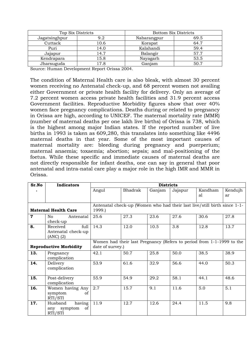| Top Six Districts |      | <b>Bottom Six Districts</b> |      |  |
|-------------------|------|-----------------------------|------|--|
| Jagatsinghpur     | 9.2  |                             | 69.5 |  |
| Cuttack           | 10.6 | Korapat                     | 64.7 |  |
| Puri              | 14.0 | Kalahandi                   | 59.4 |  |
| Jajapur           | 14.7 | Balangir                    | 57.7 |  |
| Kendrapara        | 15.8 | Nayagarh                    | 53.5 |  |
| Jharsuguda        | 17.8 | Ganjam                      | 50.7 |  |

Source: Human Development Report Orissa 2004.

The condition of Maternal Health care is also bleak, with almost 30 percent women receiving no Antenatal check-up, and 68 percent women not availing either Government or private health facility for delivery. Only an average of 7.2 percent women access private health facilities and 31.9 percent access Government facilities. Reproductive Morbidity figures show that over 40% women face pregnancy complications. Deaths during or related to pregnancy in Orissa are high, according to UNICEF. The maternal mortality rate (MMR) (number of maternal deaths per one lakh live births) of Orissa is 738, which is the highest among major Indian states. If the reported number of live births in 1993 is taken as 609,280, this translates into something like 4496 maternal deaths in that year. Some of the most important causes of maternal mortality are: bleeding during pregnancy and puerperium; maternal anaemia; toxaemia; abortion; sepsis; and mal-positioning of the foetus. While these specific and immediate causes of maternal deaths are not directly responsible for infant deaths, one can say in general that poor antenatal and intra-natal care play a major role in the high IMR and MMR in Orissa.

| Sr.No       | <b>Indicators</b>                                       | <b>Districts</b>                                                                          |         |        |         |         |         |  |  |
|-------------|---------------------------------------------------------|-------------------------------------------------------------------------------------------|---------|--------|---------|---------|---------|--|--|
|             |                                                         | Angul                                                                                     | Bhadrak | Ganjam | Jajapur | Kandham | Kendujh |  |  |
|             |                                                         |                                                                                           |         |        |         | al      | ar      |  |  |
|             |                                                         |                                                                                           |         |        |         |         |         |  |  |
|             | <b>Maternal Health Care</b>                             | Antenatal check-up (Women who had their last live/still birth since 1-1-<br>1999.)        |         |        |         |         |         |  |  |
| $\mathbf 7$ | No.<br>Antenatal<br>check-up                            | 25.6                                                                                      | 27.3    | 23.6   | 27.6    | 30.6    | 27.8    |  |  |
| 8.          | full<br>Received<br>Antenatal check-up<br>$(ANC)$ $(2)$ | 14.3                                                                                      | 12.0    | 10.5   | 3.8     | 12.8    | 13.7    |  |  |
|             | <b>Reproductive Morbidity</b>                           | Women had their last Pregnancy (Refers to period from 1-1-1999 to the<br>date of survey.) |         |        |         |         |         |  |  |
| 13.         | Pregnancy<br>complication                               | 42.1                                                                                      | 50.7    | 25.8   | 50.0    | 38.5    | 38.9    |  |  |
| 14.         | Delivery<br>complication                                | 53.9                                                                                      | 61.6    | 32.9   | 56.6    | 44.0    | 50.3    |  |  |
| 15.         | Post-delivery<br>complication                           | 55.9                                                                                      | 54.9    | 29.2   | 58.1    | 44.1    | 48.6    |  |  |
| 16.         | Women having Any<br>symptom<br>of<br>RTI/STI            | 2.7                                                                                       | 15.7    | 9.1    | 11.6    | 5.0     | 5.1     |  |  |
| 17.         | having<br>Husband<br>symptom<br>of<br>any<br>RTI/STI    | 11.9                                                                                      | 12.7    | 12.6   | 24.4    | 11.5    | 9.8     |  |  |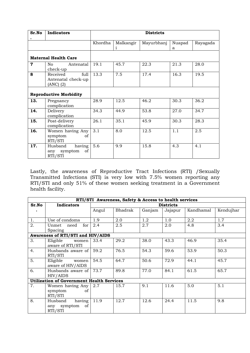| Sr.No       | <b>Indicators</b>                                    | <b>Districts</b> |                |            |             |          |  |
|-------------|------------------------------------------------------|------------------|----------------|------------|-------------|----------|--|
|             |                                                      | Khordha          | Malkangir<br>i | Mayurbhanj | Nuapad<br>a | Rayagada |  |
|             | <b>Maternal Health Care</b>                          |                  |                |            |             |          |  |
| $\mathbf 7$ | No<br>Antenatal<br>check-up                          | 19.1             | 45.7           | 22.3       | 21.3        | 28.0     |  |
| 8           | full<br>Received<br>Antenatal check-up<br>(ANC) (2)  | 13.3             | 7.5            | 17.4       | 16.3        | 19.5     |  |
|             | <b>Reproductive Morbidity</b>                        |                  |                |            |             |          |  |
| 13.         | Pregnancy<br>complication                            | 28.9             | 12.5           | 46.2       | 30.3        | 36.2     |  |
| 14.         | Delivery<br>complication                             | 34.3             | 44.9           | 53.8       | 27.0        | 34.7     |  |
| 15.         | Post-delivery<br>complication                        | 26.1             | 35.1           | 45.9       | 30.3        | 28.3     |  |
| 16.         | Women having Any<br>symptom<br>οf<br>RTI/STI         | 3.1              | 8.0            | 12.5       | 1.1         | 2.5      |  |
| 17.         | having<br>Husband<br>symptom<br>of<br>any<br>RTI/STI | 5.6              | 9.9            | 15.8       | 4.3         | 4.1      |  |

Lastly, the awareness of Reproductive Tract Infections (RTI) /Sexually Transmitted Infections (STI) is very low with 7.5% women reporting any RTI/STI and only 51% of these women seeking treatment in a Government health facility.

|       | RTI/STI Awareness, Safety & Access to health services |       |         |        |                  |           |           |  |  |
|-------|-------------------------------------------------------|-------|---------|--------|------------------|-----------|-----------|--|--|
| Sr.No | <b>Indicators</b>                                     |       |         |        | <b>Districts</b> |           |           |  |  |
|       |                                                       | Angul | Bhadrak | Ganjam | Jajapur          | Kandhamal | Kendujhar |  |  |
| 1.    | Use of condoms                                        | 1.9   | 2.0     | 1.2    | 1.0              | 2.2       | 1.7       |  |  |
| 2.    | Unmet need<br>for<br>Spacing                          | 2.4   | 2.5     | 2.7    | 2.0              | 4.8       | 3.4       |  |  |
|       | <b>Awareness of RTI/STI and HIV/AIDS</b>              |       |         |        |                  |           |           |  |  |
| 3.    | Eligible<br>women<br>aware of RTI/STI                 | 33.4  | 29.2    | 38.0   | 43.3             | 46.9      | 35.4      |  |  |
| 4.    | Husbands aware of<br>RTI/STI                          | 59.2  | 76.5    | 54.3   | 59.6             | 53.9      | 50.3      |  |  |
| 5.    | Eligible<br>women<br>aware of HIV/AIDS                | 54.5  | 64.7    | 50.6   | 72.9             | 44.1      | 45.7      |  |  |
| 6.    | Husbands aware of<br>HIV/AIDS                         | 73.7  | 89.8    | 77.0   | 84.1             | 61.5      | 65.7      |  |  |
|       | <b>Utilization of Government Health Services</b>      |       |         |        |                  |           |           |  |  |
| 7.    | Women having Any<br>symptom<br>of<br>RTI/STI          | 2.7   | 15.7    | 9.1    | 11.6             | 5.0       | 5.1       |  |  |
| 8.    | having<br>Husband<br>any symptom<br>of<br>RTI/STI     | 11.9  | 12.7    | 12.6   | 24.4             | 11.5      | 9.8       |  |  |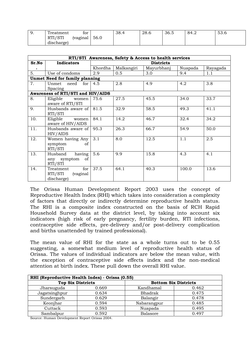| <u>.</u> | $\sqrt{2}$<br>Treatment                          | tor      |      | 38.4 | 28.6 | 36.5 | 84.2 | 53.6 |
|----------|--------------------------------------------------|----------|------|------|------|------|------|------|
|          | 10T<br><b>DTI</b><br>N <sub>1</sub><br>$\cup$ 11 | (vaginal | 56.0 |      |      |      |      |      |
|          | discharge)                                       |          |      |      |      |      |      |      |

|       |                                                       |         |                  | RTI/STI Awareness, Safety & Access to health services |         |          |  |  |  |
|-------|-------------------------------------------------------|---------|------------------|-------------------------------------------------------|---------|----------|--|--|--|
| Sr.No | <b>Indicators</b>                                     |         | <b>Districts</b> |                                                       |         |          |  |  |  |
|       |                                                       | Khordha | Malkangiri       | Mayurbhanj                                            | Nuapada | Rayagada |  |  |  |
| 5.    | Use of condoms                                        | 2.9     | 0.5              | 3.0                                                   | 9.4     | 1.1      |  |  |  |
|       | Unmet Need for family planning                        |         |                  |                                                       |         |          |  |  |  |
| 7.    | need for<br>Unmet                                     | 4.5     | 2.8              | 4.9                                                   | 4.2     | 3.8      |  |  |  |
|       | Spacing                                               |         |                  |                                                       |         |          |  |  |  |
|       | Awareness of RTI/STI and HIV/AIDS                     |         |                  |                                                       |         |          |  |  |  |
| 8.    | Eligible<br>women<br>aware of RTI/STI                 | 75.6    | 27.5             | 45.5                                                  | 34.0    | 33.7     |  |  |  |
| 9.    | Husbands aware of<br>RTI/STI                          | 81.5    | 32.9             | 58.5                                                  | 49.3    | 41.1     |  |  |  |
| 10.   | Eligible<br>women<br>aware of HIV/AIDS                | 84.1    | 14.2             | 46.7                                                  | 32.4    | 34.2     |  |  |  |
| 11.   | Husbands aware of<br>HIV/AIDS                         | 95.3    | 26.3             | 66.7                                                  | 54.9    | 50.0     |  |  |  |
| 12.   | Women having Any<br>symptom<br>of<br>RTI/STI          | 3.1     | 8.0              | 12.5                                                  | 1.1     | 2.5      |  |  |  |
| 13.   | having<br>Husband<br>any symptom of<br>RTI/STI        | 5.6     | 9.9              | 15.8                                                  | 4.3     | 4.1      |  |  |  |
| 14.   | for<br>Treatment<br>RTI/STI<br>(vaginal<br>discharge) | 37.5    | 64.1             | 40.3                                                  | 100.0   | 13.6     |  |  |  |

The Orissa Human Development Report 2003 uses the concept of Reproductive Health Index (RHI) which takes into consideration a complexity of factors that directly or indirectly determine reproductive health status. The RHI is a composite index constructed on the basis of RCH Rapid Household Survey data at the district level, by taking into account six indicators (high risk of early pregnancy, fertility burden, RTI infections, contraceptive side effects, pre-delivery and/or post-delivery complication and births unattended by trained professional).

The mean value of RHI for the state as a whole turns out to be 0.55 suggesting, a somewhat medium level of reproductive health status of Orissa. The values of individual indicators are below the mean value, with the exception of contraceptive side effects index and the non-medical attention at birth index. These pull down the overall RHI value.

| RHI (Reproductive Health Index) - Orissa (0.55) |       |                             |       |  |  |  |  |  |
|-------------------------------------------------|-------|-----------------------------|-------|--|--|--|--|--|
| <b>Top Six Districts</b>                        |       | <b>Bottom Six Districts</b> |       |  |  |  |  |  |
| Jharsuguda                                      | 0.669 | Kandhamal                   | 0.462 |  |  |  |  |  |
| Jagatsinghpur                                   | 0.634 | Bhadrak                     | 0.475 |  |  |  |  |  |
| Sundergarh                                      | 0.629 | Balangir                    | 0.478 |  |  |  |  |  |
| Keonjhar                                        | 0.594 | Nabarangpur                 | 0.485 |  |  |  |  |  |
| Cuttack                                         | 0.593 | Nuapada                     | 0.495 |  |  |  |  |  |
| Sambalpur                                       | 0.592 | Balasore                    | 0.497 |  |  |  |  |  |

Source: Human Development Report Orissa 2004.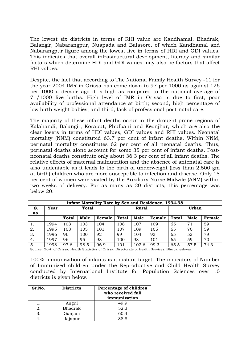The lowest six districts in terms of RHI value are Kandhamal, Bhadrak, Balangir, Nabarangpur, Nuapada and Balasore, of which Kandhamal and Nabarangpur figure among the lowest five in terms of HDI and GDI values. This indicates that overall infrastructural development, literacy and similar factors which determine HDI and GDI values may also be factors that affect RHI values.

Despite, the fact that according to The National Family Health Survey -11 for the year 2004 IMR in Orissa has come down to 97 per 1000 as against 126 per 1000 a decade ago it is high as compared to the national average of 71/1000 live births. High level of IMR in Orissa is due to first, poor availability of professional attendance at birth; second, high percentage of low birth weight babies, and third, lack of professional post-natal care.

The majority of these infant deaths occur in the drought-prone regions of Kalahandi, Balangir, Koraput, Phulbani and Keonjhar, which are also the clear losers in terms of HDI values, GDI values and RHI values. Neonatal mortality (NNM) constituted 63.7 per cent of infant deaths. Within NNM, perinatal mortality constitutes 62 per cent of all neonatal deaths. Thus, perinatal deaths alone account for some 35 per cent of infant deaths. Postneonatal deaths constitute only about 36.3 per cent of all infant deaths. The relative effects of maternal malnutrition and the absence of antenatal care is also undeniable as it leads to the birth of underweight (less than 2,500 gm at birth) children who are more susceptible to infection and disease. Only 18 per cent of women were visited by the Auxiliary Nurse Midwife (ANM) within two weeks of delivery. For as many as 20 districts, this percentage was below 20.

|     | Infant Mortality Rate by Sex and Residence, 1994-98 |              |      |        |              |       |        |              |              |        |  |
|-----|-----------------------------------------------------|--------------|------|--------|--------------|-------|--------|--------------|--------------|--------|--|
| S.  | Year                                                | <b>Total</b> |      |        |              | Rural |        |              | <b>Urban</b> |        |  |
| no. |                                                     |              |      |        |              |       |        |              |              |        |  |
|     |                                                     | Total        | Male | Female | <b>Total</b> | Male  | Female | <b>Total</b> | Male         | Female |  |
|     | 1994                                                | 103          | 103  | 104    | 108          | 107   | 109    | 65           | 71           | 59     |  |
| 2.  | 1995                                                | 103          | 105  | 101    | 107          | 109   | 105    | 65           | 70           | 59     |  |
| 3.  | 1996                                                | 96           | 100  | 92     | 99           | 104   | 93     | 65           | 52           | 79     |  |
| 4.  | 1997                                                | 96           | 95   | 98     | 100          | 98    | 101    | 65           | 59           | 70     |  |
| 5.  | 1998                                                | 97.6         | 98.5 | 96.9   | 101          | 102.6 | 99.3   | 65.5         | 57.5         | 74.3   |  |

Source: Govt. of Orissa, Health Statistics of Orissa, Directorate of Health Services, Bhubaneshwar.

100% immunization of infants is a distant target. The indicators of Number of Immunized children under the Reproductive and Child Health Survey conducted by International Institute for Population Sciences over 10 districts is given below.

| Sr.No. | <b>Districts</b> | Percentage of children<br>who received full<br>immunization |
|--------|------------------|-------------------------------------------------------------|
|        | Angul            | 49.9                                                        |
| 2.     | <b>Bhadrak</b>   | 52.3                                                        |
|        | Ganjam           | 60.4                                                        |
|        | Jajapur          | 38.8                                                        |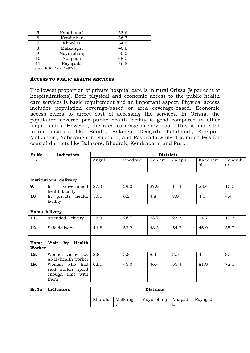| 5.  | Kandhamal  | 58.6 |
|-----|------------|------|
| 6.  | Kendujhar  | 36.7 |
|     | Khordha    | 64.0 |
|     | Malkangiri | 40.8 |
| 9.  | Mayurbhanj | 50.0 |
| 10. | Nuapada    | 48.5 |
|     | Rayagada   | 56.8 |

Source: RHC Data (1997-98)

#### **ACCESS TO PUBLIC HEALTH SERVICES**

The lowest proportion of private hospital care is in rural Orissa (9 per cent of hospitalizations). Both physical and economic access to the public health care services is basic requirement and an important aspect. Physical access includes population coverage-based or area coverage-based. Economic access refers to direct cost of accessing the services. In Orissa, the population covered per public health facility is good compared to other major states. However, the area coverage is very poor. This is more for inland districts like Baudh, Balangir, Deogarh, Kalahandi, Koraput, Malkangiri, Nabarangpur, Nuapada, and Rayagada while it is much less for coastal districts like Balasore, Bhadrak, Kendrapara, and Puri.

| Sr.No          | <b>Indicators</b>                                              |       |         | <b>Districts</b> |         |         |         |
|----------------|----------------------------------------------------------------|-------|---------|------------------|---------|---------|---------|
|                |                                                                | Angul | Bhadrak | Ganjam           | Jajapur | Kandham | Kendujh |
|                |                                                                |       |         |                  |         | al      | ar      |
|                |                                                                |       |         |                  |         |         |         |
|                | <b>Institutional delivery</b>                                  |       |         |                  |         |         |         |
| 9.             | Government<br>In<br>health facility                            | 27.0  | 29.0    | 27.9             | 11.4    | 28.4    | 15.5    |
| 10             | In private health<br>facility                                  | 10.1  | 6.2     | 4.8              | 8.9     | 4.0     | 4.4     |
|                | Home delivery                                                  |       |         |                  |         |         |         |
| 11.            | <b>Attended Delivery</b>                                       | 12.3  | 26.7    | 23.7             | 23.3    | 21.7    | 19.3    |
| 12.            | Safe delivery                                                  | 44.8  | 52.2    | 48.3             | 54.2    | 46.9    | 35.2    |
| Home<br>Worker | Visit by Health                                                |       |         |                  |         |         |         |
| 18.            | Women visited by<br>ANM/health worker                          | 2.8   | 5.8     | 8.3              | 3.5     | 4.1     | 8.5     |
| 19.            | Women who had<br>said worker spent<br>enough time with<br>them | 62.1  | 45.0    | 46.4             | 55.4    | 81.9    | 72.1    |

| Sr.No | Indicators | <b>Districts</b> |                     |                     |  |          |
|-------|------------|------------------|---------------------|---------------------|--|----------|
|       |            |                  | Khordha   Malkangir | Mayurbhanj   Nuapad |  | Rayagada |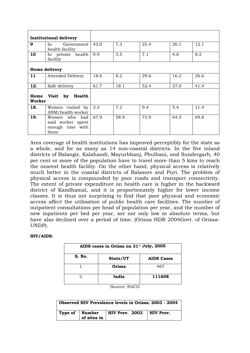|                | <b>Institutional delivery</b>                                  |      |      |      |      |      |
|----------------|----------------------------------------------------------------|------|------|------|------|------|
| 9              | Government<br>In<br>health facility                            | 43.0 | 7.3  | 25.4 | 20.1 | 12.1 |
| 10             | In private health<br>facility                                  | 9.9  | 3.5  | 7.1  | 4.8  | 8.2  |
|                | <b>Home delivery</b>                                           |      |      |      |      |      |
| 11             | <b>Attended Delivery</b>                                       | 18.6 | 8.2  | 29.6 | 16.2 | 26.6 |
| 12.            | Safe delivery                                                  | 61.7 | 18.1 | 52.4 | 37.0 | 41.4 |
| Home<br>Worker | Visit by<br>Health                                             |      |      |      |      |      |
| 18.            | Women visited by<br>ANM/health worker                          | 3.3  | 7.2  | 9.4  | 5.4  | 11.4 |
| 19.            | Women who had<br>said worker spent<br>enough time with<br>them | 67.9 | 58.9 | 73.9 | 64.5 | 69.8 |

Area coverage of health institutions has improved perceptibly for the state as a whole, and for as many as 14 non-coastal districts. In the five inland districts of Balangir, Kalahandi, Mayurbhanj, Phulbani, and Sundergarh, 40 per cent or more of the population have to travel more than 5 kms to reach the nearest health facility. On the other hand, physical access is relatively much better in the coastal districts of Balasore and Puri. The problem of physical access is compounded by poor roads and transport connectivity. The extent of private expenditure on health care is higher in the backward district of Kandhamal, and it is proportionately higher for lower income classes. It is thus not surprising to find that poor physical and economic access affect the utilisation of public health care facilities. The number of outpatient consultations per head of population per year, and the number of new inpatients per bed per year, are not only low in absolute terms, but have also declined over a period of time. (Orissa HDR 2004Govt. of Orissa-UNDP).

#### **HIV/AIDS:**

| AIDS cases in Orissa on 31 <sup>st</sup> July, 2005 |          |                   |  |  |  |
|-----------------------------------------------------|----------|-------------------|--|--|--|
| S. No.                                              | State/UT | <b>AIDS Cases</b> |  |  |  |
|                                                     | Orissa   | 467               |  |  |  |
| 2.                                                  | India    | 111608            |  |  |  |

Source: NACO

| Observed HIV Prevalence levels in Orissa: 2003 - 2004 |             |                                               |  |  |  |
|-------------------------------------------------------|-------------|-----------------------------------------------|--|--|--|
|                                                       | of sites in | Type of   Number   HIV Prev. 2003   HIV Prev. |  |  |  |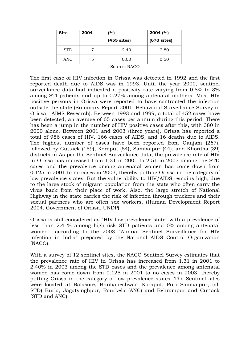| <b>Site</b> | 2004 | (%)           | $2004$ (%)    |
|-------------|------|---------------|---------------|
|             |      | $(455$ sites) | $(670$ sites) |
| <b>STD</b>  |      | 2.40          | 2.80          |
| ANC         | ა    | 0.00          | 0.50          |

Source: NACO

The first case of HIV infection in Orissa was detected in 1992 and the first reported death due to AIDS was in 1993. Until the year 2000, sentinel surveillance data had indicated a positivity rate varying from 0.8% to 3% among STI patients and up to 0.27% among antenatal mothers. Most HIV positive persons in Orissa were reported to have contracted the infection outside the state (Summary Report 2001: Behavioral Surveillance Survey in Orissa, -AIMS Research). Between 1993 and 1999, a total of 452 cases have been detected, an average of 65 cases per annum during this period. There has been a jump in the number of HIV positive cases after this, with 380 in 2000 alone. Between 2001 and 2003 (three years), Orissa has reported a total of 986 cases of HIV, 166 cases of AIDS, and 16 deaths due to AIDS. The highest number of cases have been reported from Ganjam (267), followed by Cuttack (159), Koraput (54), Sambalpur (44), and Khordha (39) districts in As per the Sentinel Surveillance data, the prevalence rate of HIV in Orissa has increased from 1.31 in 2001 to 2.51 in 2003 among the STD cases and the prevalence among antenatal women has come down from 0.125 in 2001 to no cases in 2003, thereby putting Orissa in the category of low prevalence states. But the vulnerability to HIV/AIDS remains high, due to the large stock of migrant population from the state who often carry the virus back from their place of work. Also, the large stretch of National Highway in the state carries the risk of infection through truckers and their sexual partners who are often sex workers. (Human Development Report 2004, Government of Orissa, UNDP)

Orissa is still considered as "HIV low prevalence state" with a prevalence of less than 2.4 % among high-risk STD patients and 0% among antenatal women according to the 2003 "Annual Sentinel Surveillance for HIV infection in India" prepared by the National AIDS Control Organization (NACO).

With a survey of 12 sentinel sites, the NACO Sentinel Survey estimates that the prevalence rate of HIV in Orissa has increased from 1.31 in 2001 to 2.40% in 2003 among the STD cases and the prevalence among antenatal women has come down from 0.125 in 2001 to no cases in 2003, thereby putting Orissa in the category of low prevalence states. The Sentinel sites were located at Balasore, Bhubaneshwar, Koraput, Puri Sambalpur, (all STD) Burla, Jagatsinghpur, Rourkela (ANC) and Behrampur and Cuttack (STD and ANC).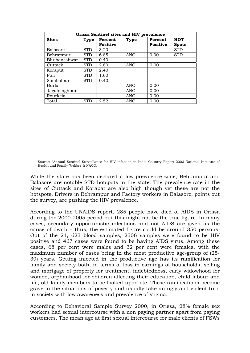| Orissa Sentinel sites and HIV prevalence |             |                 |             |                 |              |  |  |
|------------------------------------------|-------------|-----------------|-------------|-----------------|--------------|--|--|
| <b>Sites</b>                             | <b>Type</b> | Percent         | <b>Type</b> | Percent         | <b>HOT</b>   |  |  |
|                                          |             | <b>Positive</b> |             | <b>Positive</b> | <b>Spots</b> |  |  |
| Balasore                                 | <b>STD</b>  | 3.20            |             |                 | <b>STD</b>   |  |  |
| Behrampur                                | <b>STD</b>  | 6.85            | <b>ANC</b>  | 0.00            | <b>STD</b>   |  |  |
| Bhubaneshwar                             | <b>STD</b>  | 0.40            |             |                 |              |  |  |
| Cuttack                                  | <b>STD</b>  | 2.80            | ANC         | 0.00            |              |  |  |
| Koraput                                  | <b>STD</b>  | 2.40            |             |                 |              |  |  |
| Puri                                     | <b>STD</b>  | 1.60            |             |                 |              |  |  |
| Sambalpur                                | STD         | 0.40            |             |                 |              |  |  |
| Burla                                    |             |                 | <b>ANC</b>  | 0.00            |              |  |  |
| Jagatsinghpur                            |             |                 | <b>ANC</b>  | 0.00            |              |  |  |
| Rourkela                                 |             |                 | <b>ANC</b>  | 0.00            |              |  |  |
| Total                                    | <b>STD</b>  | 2.52            | <b>ANC</b>  | 0.00            |              |  |  |

Source: "Annual Sentinel Surveillance for HIV infection in India Country Report 2003 National Institute of Health and Family Welfare & NACO.

While the state has been declared a low-prevalence zone, Behrampur and Balasore are notable STD hotspots in the state. The prevalence rate in the sites of Cuttack and Korapat are also high though yet these are not the hotspots. Drivers in Behrampur and Factory workers in Balasore, points out the survey, are pushing the HIV prevalence.

According to the UNAIDS report, 285 people have died of AIDS in Orissa during the 2000-2005 period but this might not be the true figure. In many cases, secondary opportunistic infections and not AIDS are given as the cause of death – thus, the estimated figure could be around 350 persons. Out of the 21, 623 blood samples, 2306 samples were found to be HIV positive and 467 cases were found to be having AIDS virus. Among these cases, 68 per cent were males and 32 per cent were females, with the maximum number of cases being in the most productive age-group of (25- 39) years. Getting infected in the productive age has its ramification for family and society both, in terms of loss in earnings of households, selling and mortgage of property for treatment, indebtedness, early widowhood for women, orphanhood for children affecting their education, child labour and life, old family members to be looked upon etc. These ramifications become grave in the situations of poverty and usually take an ugly and violent turn in society with low awareness and prevalence of stigma.

According to Behavioral Sample Survey 2000, in Orissa, 28% female sex workers had sexual intercourse with a non paying partner apart from paying customers. The mean age at first sexual intercourse for male clients of FSWs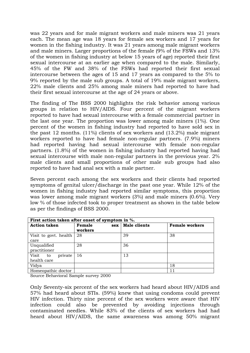was 22 years and for male migrant workers and male miners was 21 years each. The mean age was 18 years for female sex workers and 17 years for women in the fishing industry. It was 21 years among male migrant workers and male miners. Larger proportions of the female (9% of the FSWs and 13% of the women in fishing industry at below 15 years of age) reported their first sexual intercourse at an earlier age when compared to the male. Similarly, 45% of the FW and 38% of the FSWs had reported their first sexual intercourse between the ages of 15 and 17 years as compared to the 5% to 9% reported by the male sub groups. A total of 19% male migrant workers, 22% male clients and 25% among male miners had reported to have had their first sexual intercourse at the age of 24 years or above.

The finding of The BSS 2000 highlights the risk behavior among various groups in relation to HIV/AIDS. Four percent of the migrant workers reported to have had sexual intercourse with a female commercial partner in the last one year. The proportion was lower among male miners (1%). One percent of the women in fishing industry had reported to have sold sex in the past 12 months. (11%) clients of sex workers and (13.2%) male migrant workers reported to have had female non-regular partners. (7.9%) miners had reported having had sexual intercourse with female non-regular partners. (1.8%) of the women in fishing industry had reported having had sexual intercourse with male non-regular partners in the previous year. 2% male clients and small proportions of other male sub groups had also reported to have had anal sex with a male partner.

Seven percent each among the sex workers and their clients had reported symptoms of genital ulcer/discharge in the past one year. While 12% of the women in fishing industry had reported similar symptoms, this proportion was lower among male migrant workers (3%) and male miners (0.6%). Very low % of those infected took to proper treatment as shown in the table below as per the findings of BSS 2000.

| First action taken after onset of symptom in %. |                          |                     |                       |  |  |  |
|-------------------------------------------------|--------------------------|---------------------|-----------------------|--|--|--|
| <b>Action taken</b>                             | Female<br>sex<br>workers | <b>Male clients</b> | <b>Female workers</b> |  |  |  |
| Visit to govt. health                           | 28                       | 39                  | 38                    |  |  |  |
| care                                            |                          |                     |                       |  |  |  |
| Unqualified                                     | 28                       | 36                  |                       |  |  |  |
| practitioner                                    |                          |                     |                       |  |  |  |
| Visit<br>private<br>to                          | 16                       | 13                  |                       |  |  |  |
| health care                                     |                          |                     |                       |  |  |  |
| Vidya                                           |                          |                     | 18                    |  |  |  |
| Homeopathic doctor                              |                          |                     | 11                    |  |  |  |

Source Behavioral Sample survey 2000

Only Seventy-six percent of the sex workers had heard about HIV/AIDS and 57% had heard about STIs. (59%) knew that using condoms could prevent HIV infection. Thirty nine percent of the sex workers were aware that HIV infection could also be prevented by avoiding injections through contaminated needles. While 83% of the clients of sex workers had had heard about HIV/AIDS, the same awareness was among 50% migrant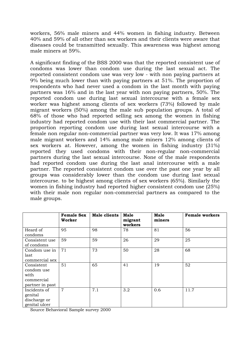workers, 56% male miners and 44% women in fishing industry. Between 40% and 59% of all other than sex workers and their clients were aware that diseases could be transmitted sexually. This awareness was highest among male miners at 59%.

A significant finding of the BSS 2000 was that the reported consistent use of condoms was lower than condom use during the last sexual act. The reported consistent condom use was very low - with non paying partners at 9% being much lower than with paying partners at 51%. The proportion of respondents who had never used a condom in the last month with paying partners was 16% and in the last year with non paying partners, 50%. The reported condom use during last sexual intercourse with a female sex worker was highest among clients of sex workers (73%) followed by male migrant workers (50%) among the male sub population groups. A total of 68% of those who had reported selling sex among the women in fishing industry had reported condom use with their last commercial partner. The proportion reporting condom use during last sexual intercourse with a female non regular non-commercial partner was very low. It was 17% among male migrant workers and 14% among male miners 12% among clients of sex workers at. However, among the women in fishing industry (31%) reported they used condoms with their non-regular non-commercial partners during the last sexual intercourse. None of the male respondents had reported condom use during the last anal intercourse with a male partner. The reported consistent condom use over the past one year by all groups was considerably lower than the condom use during last sexual intercourse. to be highest among clients of sex workers (65%). Similarly the women in fishing industry had reported higher consistent condom use (25%) with their male non regular non-commercial partners as compared to the male groups.

|                                                                   | <b>Female Sex</b><br>Worker | Male clients | <b>Male</b><br>migrant<br>workers | <b>Male</b><br>miners | <b>Female workers</b> |
|-------------------------------------------------------------------|-----------------------------|--------------|-----------------------------------|-----------------------|-----------------------|
| Heard of<br>condoms                                               | 95                          | 98           | 78                                | 81                    | 56                    |
| Consistent use<br>of condoms                                      | 59                          | 59           | 26                                | 29                    | 25                    |
| Condom use in<br>last<br>commercial sex                           | 71                          | 73           | 50                                | 28                    | 68                    |
| Consistent<br>condom use<br>with<br>commercial<br>partner in past | 51                          | 65           | 41                                | 19                    | 52                    |
| Incidents of<br>genital<br>discharge or<br>genital ulcer          | $\overline{7}$              | 7.1          | 3.2                               | 0.6                   | 11.7                  |

Source Behavioral Sample survey 2000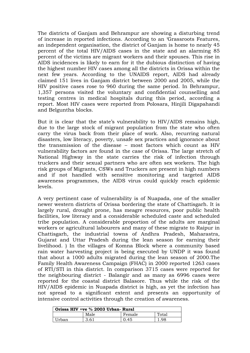The districts of Ganjam and Behrampur are showing a disturbing trend of increase in reported infections. According to an 'Grassroots Features, an independent organisation, the district of Ganjam is home to nearly 45 percent of the total HIV/AIDS cases in the state and an alarming 85 percent of the victims are migrant workers and their spouses. This rise in AIDS incidences is likely to earn for it the dubious distinction of having the highest number HIV cases among all the districts in Orissa within the next few years. According to the UNAIDS report, AIDS had already claimed 151 lives in Ganjam district between 2000 and 2005, while the HIV positive cases rose to 960 during the same period. In Behrampur, 1,357 persons visited the voluntary and confidential counselling and testing centres in medical hospitals during this period, according a report. Most HIV cases were reported from Polosara, Hinjili Digapahandi and Belguntha blocks.

But it is clear that the state's vulnerability to HIV/AIDS remains high, due to the large stock of migrant population from the state who often carry the virus back from their place of work. Also, recurring natural disasters, low literacy, poverty, unsafe sex practices and ignorance about the transmission of the disease – most factors which count as HIV vulnerability factors are found in the case of Orissa. The large stretch of National Highway in the state carries the risk of infection through truckers and their sexual partners who are often sex workers. The high risk groups of Migrants, CSWs and Truckers are present in high numbers and if not handled with sensitive monitoring and targeted AIDS awareness programmes, the AIDS virus could quickly reach epidemic levels.

A very pertinent case of vulnerability is of Nuapada, one of the smaller newer western districts of Orissa bordering the state of Chattisgarh. It is largely rural, drought prone, has meagre resources, poor public health facilities, low literacy and a considerable scheduled caste and scheduled tribe population. A considerable proportion of the adults are marginal workers or agricultural labourers and many of these migrate to Raipur in Chattisgarh, the industrial towns of Andhra Pradesh, Maharastra, Gujarat and Uttar Pradesh during the lean season for earning their livelihood. ) In the villages of Komna Block where a community based rain water harvesting project is being executed by UNDP it was found that about a 1000 adults migrated during the lean season of 2000.The Family Health Awareness Campaign (FHAC) in 2000 reported 1263 cases of RTI/STI in this district. In comparison 3715 cases were reported for the neighbouring district - Balangir and as many as 6996 cases were reported for the coastal district Balasore. Thus while the risk of the HIV/AIDS epidemic in Nuapada district is high, as yet the infection has not spread to a significant extent and presents an opportunity of intensive control activities through the creation of awareness.

| Orissa HIV +ve % 2003 Urban- Rural |      |        |       |  |  |
|------------------------------------|------|--------|-------|--|--|
|                                    | Male | Female | Total |  |  |
| Urban                              | 3.61 | 0.45   | .98   |  |  |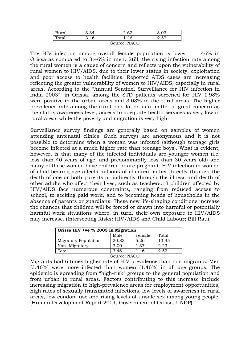| $\mathbf{\mathsf{r}}$<br>Rural | 3.34 | 60   |                     |  |
|--------------------------------|------|------|---------------------|--|
| Total                          | 3.46 | 1.46 | $5^{\circ}$<br>2.02 |  |
| $0 \rightarrow 0$              |      |      |                     |  |

Source: NACO

The HIV infection among overall female population is lower -- 1.46% in Orissa as compared to 3.46% in men. Still, the rising infection rate among the rural women is a cause of concern and reflects upon the vulnerability of rural women to HIV/AIDS, due to their lower status in society, exploitation and poor access to health facilities. Reported AIDS cases are increasing reflecting the greater vulnerability of women to HIV/AIDS, especially in rural areas. According to the "Annual Sentinel Surveillance for HIV infection in India 2003", in Orissa, among the STD patients screened for HIV 1.98% were positive in the urban areas and 3.03% in the rural areas. The higher prevalence rate among the rural population is a matter of great concern as the status awareness level, access to adequate health services is very low in rural areas while the poverty and migration is very high.

Surveillance survey findings are generally based on samples of women attending antenatal clinics. Such surveys are anonymous and it is not possible to determine when a woman was infected (although teenage girls become infected at a much higher rate than teenage boys). What is evident, however, is that many of the infected individuals are younger women (i.e. less than 40 years of age, and predominantly less than 30 years old) and many of these women have children or are pregnant. HIV infection in women of child-bearing age affects millions of children, either directly through the death of one or both parents or indirectly through the illness and death of other adults who affect their lives, such as teachers.13 children affected by HIV/AIDS face numerous constraints, ranging from reduced access to school, to seeking paid work, and to becoming heads of households in the absence of parents or guardians. These new life-shaping conditions increase the chances that children will be forced or drawn into harmful or potentially harmful work situations where, in turn, their own exposure to HIV/AIDS may increase. (Intersecting Risks: HIV/AIDS and Child Labour; Bill Rau)

| Orissa HIV +ve % 2003 In Migration |              |      |       |
|------------------------------------|--------------|------|-------|
| Male<br>Total<br>Female            |              |      |       |
| <b>Migratory Population</b>        | 20.83        | 5.26 | 13.95 |
| Non-Migratory                      | 3.00         | 1.37 | 2.23  |
| Total                              | 3.46         | 1.46 | 2.52  |
|                                    | Source: NACO |      |       |

Migrants had 6 times higher rate of HIV prevalence than non-migrants. Men (3.46%) were more infected than women (1.46%) in all age groups. The epidemic is spreading from "high-risk" groups to the general population and from urban to rural areas. Factors contributing to this increase include increasing migration to high-prevalence areas for employment opportunities, high rates of sexually transmitted infections, low levels of awareness in rural areas, low condom use and rising levels of unsafe sex among young people. (Human Development Report 2004, Government of Orissa, UNDP)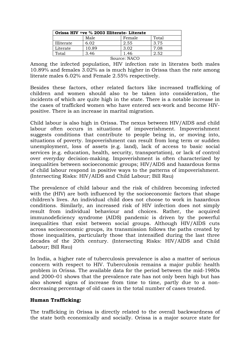| Orissa HIV +ve % 2003 Illiterate- Literate |       |              |       |
|--------------------------------------------|-------|--------------|-------|
|                                            | Male  | Female       | Total |
| Illiterate                                 | 6.02  | 2.55         | 3.75  |
| Literate                                   | 10.89 | 3.02         | 7.08  |
| Total                                      | 3.46  | 1.46         | 2.52  |
|                                            |       | Source: NACO |       |

Among the infected population, HIV infection rate in literates both males 10.89% and females 3.02% as is much higher in Orissa than the rate among literate males 6.02% and Female 2.55% respectively.

Besides these factors, other related factors like increased trafficking of children and women should also to be taken into consideration, the incidents of which are quite high in the state. There is a notable increase in the cases of trafficked women who have entered sex-work and become HIVpositive. There is an increase in marital migration.

Child labour is also high in Orissa. The nexus between HIV/AIDS and child labour often occurs in situations of impoverishment. Impoverishment suggests conditions that contribute to people being in, or moving into, situations of poverty. Impoverishment can result from long term or sudden unemployment, loss of assets (e.g. land), lack of access to basic social services (e.g. education, health, security, transportation), or lack of control over everyday decision-making. Impoverishment is often characterized by inequalities between socioeconomic groups; HIV/AIDS and hazardous forms of child labour respond in positive ways to the patterns of impoverishment. (Intersecting Risks: HIV/AIDS and Child Labour; Bill Rau)

The prevalence of child labour and the risk of children becoming infected with the (HIV) are both influenced by the socioeconomic factors that shape children's lives. An individual child does not choose to work in hazardous conditions. Similarly, an increased risk of HIV infection does not simply result from individual behaviour and choices. Rather, the acquired immunodeficiency syndrome (AIDS) pandemic is driven by the powerful inequalities that exist between social groups. Although HIV/AIDS cuts across socioeconomic groups, its transmission follows the paths created by those inequalities, particularly those that intensified during the last three decades of the 20th century. (Intersecting Risks: HIV/AIDS and Child Labour; Bill Rau)

In India, a higher rate of tuberculosis prevalence is also a matter of serious concern with respect to HIV. Tuberculosis remains a major public health problem in Orissa. The available data for the period between the mid-1980s and 2000–01 shows that the prevalence rate has not only been high but has also showed signs of increase from time to time, partly due to a nondecreasing percentage of old cases in the total number of cases treated.

#### **Human Trafficking:**

The trafficking in Orissa is directly related to the overall backwardness of the state both economically and socially. Orissa is a major source state for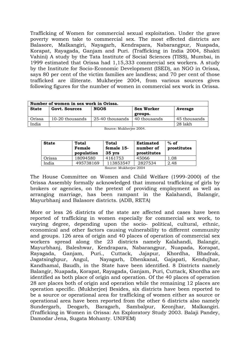Trafficking of Women for commercial sexual exploitation. Under the grave poverty women take to commercial sex. The most effected districts are Balasore, Malkangiri, Nayagarh, Kendrapara, Nabarangpur, Nuapada, Korapat, Rayagada, Ganjam and Puri. (Trafficking in India 2004, Shakti Vahini) A study by the Tata Institute of Social Sciences (TISS), Mumbai, in 1999 estimated that Orissa had 1,15,333 commercial sex workers. A study by the Institute for Socio-Economic Development (ISED), an NGO in Orissa, says 80 per cent of the victim families are landless; and 70 per cent of those trafficked are illiterate. Mukherjee 2004, from various sources gives following figures for the number of women in commercial sex work in Orissa.

|              | Number of women in sex work in Orissa. |                 |                   |              |  |
|--------------|----------------------------------------|-----------------|-------------------|--------------|--|
| <b>State</b> | Govt. Sources                          | <b>NGOS</b>     | <b>Sex Worker</b> | Average      |  |
|              |                                        |                 | groups.           |              |  |
| Orissa       | 10-20 thousands                        | 25-40 thousands | 40 thousands      | 45 thousands |  |
| India        |                                        |                 |                   | 28 lakh      |  |

| <b>State</b>           | <b>Total</b><br>Female<br>population | Total<br>female 15-<br>$35$ yrs | <b>Estimated</b><br>number of<br>prostitutes | $%$ of<br>prostitutes |
|------------------------|--------------------------------------|---------------------------------|----------------------------------------------|-----------------------|
| Orissa                 | 18094580                             | 4161753                         | 45066                                        | 1.08                  |
| India                  | 495738169                            | 113853547                       | 2827534                                      | 2.48                  |
| Source: Mukherjee 2004 |                                      |                                 |                                              |                       |

Source: Mukherjee 2004.

The House Committee on Women and Child Welfare (1999-2000) of the Orissa Assembly formally acknowledged that immoral trafficking of girls by brokers or agencies, on the pretext of providing employment as well as arranging marriage, has been rampant in the Kalahandi, Balangir, Mayurbhanj and Balasore districts. (ADB, RETA)

More or less 26 districts of the state are affected and cases have been reported of trafficking in women especially for commercial sex work, to varying degree, depending upon the socio- political, cultural, ethnic, economical and other factors causing vulnerability to different community and groups. 126 area of origin and 40 places of operation of commercial sex workers spread along the 23 districts namely Kalahandi, Balangir, Mayurbhanj, Baleshwar, Kendrapara, Nabarangpur, Nuapada, Korapat, Rayagada, Ganjam, Puri., Cuttack, Jajapur, Khordha, Bhadrak, Jagatsinghpur, Angul, Nayagarh, Dhenkanal, Gajapati, Kendujhar, Kandhamal, Baudh, in the State have been identified. 8 Districts namely Balangir, Nuapada, Korapat, Rayagada, Ganjam, Puri, Cuttack, Khordha are identified as both place of origin and operation. Of the 40 places of operation 28 are places both of origin and operation while the remaining 12 places are operation specific. (Mukherjee) Besides, six districts have been reported to be a source or operational area for trafficking of women either as source or operational area have been reported from the other 6 districts also namely Sundergarh, Deogarh, Baragarh, Sambalpur, Keonjhar, Malkangiri. (Trafficking in Women in Orissa: An Exploratory Study 2003. Balaji Pandey, Damodar Jena, Sugata Mohanty. UNIFEM)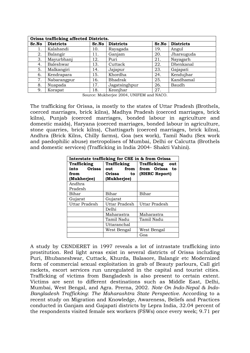|       | Orissa trafficking affected Districts. |       |                  |       |                  |
|-------|----------------------------------------|-------|------------------|-------|------------------|
| Sr.No | <b>Districts</b>                       | Sr.No | <b>Districts</b> | Sr.No | <b>Districts</b> |
| 1.    | Kalahandi                              | 10.   | Rayagada         | 19.   | Angul            |
| 2.    | Balangir                               | 11.   | Ganjam           | 20.   | Jharsuguda       |
| 3.    | Mayurbhanj                             | 12.   | Puri             | 21.   | Nayagarh         |
| 4.    | Baleshwar                              | 13.   | Cuttack          | 22.   | Dhenkanal        |
| 5.    | Malkangiri                             | 14.   | Jajapur          | 23.   | Gajapati         |
| 6.    | Kendrapara                             | 15.   | Khordha          | 24.   | Kendujhar        |
| 7.    | Nabarangpur                            | 16.   | Bhadrak          | 25.   | Kandhamal        |
| 8.    | Nuapada                                | 17.   | Jagatsinghpur    | 26.   | Baudh            |
| 9.    | Korapat                                | 18.   | Keonjhar         | 27.   |                  |

Source: Mukherjee 2004, UNIFEM and NACO.

The trafficking for Orissa, is mostly to the states of Uttar Pradesh (Brothels, coerced marriages, brick kilns), Madhya Pradesh (coerced marriages, brick kilns), Punjab (coerced marriages, bonded labour in agriculture and domestic maids), Haryana (coerced marriages, bonded labour in agriculture, stone quarries, brick kilns), Chattisgarh (coerced marriages, brick kilns), Andhra (Brick Kilns, Chilly farms), Goa (sex work), Tamil Nadu (Sex work and paedophilic abuse) metropolises of Mumbai, Delhi or Calcutta (Brothels and domestic services) (Trafficking in India 2004- Shakti Vahini).

| Interstate trafficking for CSE in & from Orissa |               |                    |  |  |
|-------------------------------------------------|---------------|--------------------|--|--|
| Trafficking                                     | Trafficking   | Trafficking<br>out |  |  |
| Orissa<br>into                                  | from<br>out   | from Orissa to     |  |  |
| from                                            | Orissa<br>to  | (NHRC Report)      |  |  |
| (Mukherjee)                                     | (Mukherjee)   |                    |  |  |
| Andhra                                          |               |                    |  |  |
| Pradesh                                         |               |                    |  |  |
| Bihar                                           | Bihar         | Bihar              |  |  |
| Gujarat                                         | Gujarat       |                    |  |  |
| Uttar Pradesh                                   | Uttar Pradesh | Uttar Pradesh      |  |  |
|                                                 | Delhi         |                    |  |  |
|                                                 | Maharastra    | Maharastra         |  |  |
|                                                 | Tamil Nadu    | Tamil Nadu         |  |  |
|                                                 | Uttaranchal   |                    |  |  |
|                                                 | West Bengal   | West Bengal        |  |  |
|                                                 |               | Goa                |  |  |

A study by CENDERET in 1997 reveals a lot of intrastate trafficking into prostitution. Red light areas exist in several districts of Orissa including Puri, Bhubaneshwar, Cuttack, Khurda, Balasore, Balangir etc Modernized form of commercial sexual exploitation in grab of Beauty parlours, Call girl rackets, escort services run unregulated in the capital and tourist cities. Trafficking of victims from Bangladesh is also present to certain extent. Victims are sent to different destinations such as Middle East, Delhi, Mumbai, West Bengal, and Agra. Prerna, 2002. *Note On Indo-Nepal & Indo-Bangladesh Trafficking*: *The Maharashtra State Perspective.* According to a recent study on Migration and Knowledge, Awareness, Beliefs and Practices conducted in Ganjam and Gajapati districts by Lepra India, 32.04 percent of the respondents visited female sex workers (FSWs) once every week; 9.71 per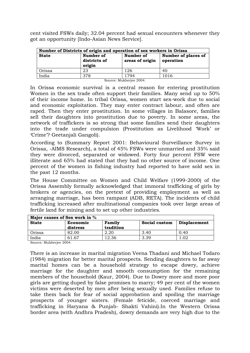cent visited FSWs daily; 32.04 percent had sexual encounters whenever they got an opportunity [Indo-Asian News Service].

| Number of Districts of origin and operation of sex workers in Orissa |                                     |                              |                                  |  |
|----------------------------------------------------------------------|-------------------------------------|------------------------------|----------------------------------|--|
| <b>State</b>                                                         | Number of<br>districts of<br>origin | Number of<br>areas of origin | Number of places of<br>operation |  |
| Orissa                                                               | 23                                  | 126                          | 40                               |  |
| India                                                                | 378                                 | 1794                         | 1016                             |  |
|                                                                      | Source: Mukherjee 2004.             |                              |                                  |  |

In Orissa economic survival is a central reason for entering prostitution Women in the sex trade often support their families. Many send up to 50% of their income home. In tribal Orissa, women start sex-work due to social and economic exploitation. They may enter contract labour, and often are raped. Then they enter prostitution. In some villages in Balasore, families sell their daughters into prostitution due to poverty. In some areas, the network of traffickers is so strong that some families send their daughters into the trade under compulsion (Prostitution as Livelihood 'Work' or 'Crime'? [Geetanjali Gangoli\)](mailto:ggangoli@hotmail.com).

According to (Summary Report 2001: Behavioural Surveillance Survey in Orissa, -AIMS Research), a total of 45% FSWs were unmarried and 35% said they were divorced, separated or widowed. Forty four percent FSW were illiterate and 65% had stated that they had no other source of income. One percent of the women in fishing industry had reported to have sold sex in the past 12 months.

The House Committee on Women and Child Welfare (1999-2000) of the Orissa Assembly formally acknowledged that immoral trafficking of girls by brokers or agencies, on the pretext of providing employment as well as arranging marriage, has been rampant (ADB, RETA). The incidents of child trafficking increased after multinational companies took over large areas of fertile land for mining and to set up other industries.

| Major causes of Sex work in % |                      |                     |               |                     |
|-------------------------------|----------------------|---------------------|---------------|---------------------|
| <b>State</b>                  | Economic<br>distress | Family<br>tradition | Social custom | <b>Displacement</b> |
| Orissa                        | 82.00                | 2.20                | 3.40          | 0.40                |
| India                         | 61.67                | 12.36               | 3.39          |                     |

Source: Mukherjee 2004.

There is an increase in marital migration Veena Thadani and Michael Todaro (1984) migration for better marital prospects. Sending daughters to far away marital homes can be a household strategy to escape dowry, achieve marriage for the daughter and smooth consumption for the remaining members of the household (Kaur, 2004). Due to Dowry more and more poor girls are getting duped by false promises to marry; 49 per cent of the women victims were deserted by men after being sexually used. Families refuse to take them back for fear of social approbation and spoiling the marriage prospects of younger sisters. (Female feticide, coerced marriage and trafficking in Haryana & Punjab- Shakti Vahini).In the Western Orissa border area (with Andhra Pradesh), dowry demands are very high due to the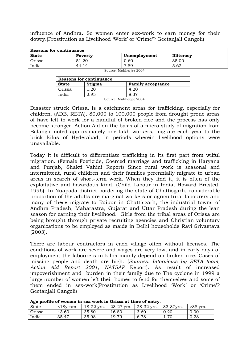influence of Andhra. So women enter sex-work to earn money for their dowry.(Prostitution as Livelihood 'Work' or 'Crime'? Geetanjali Gangoli)

| Reasons for continuance |         |              |                   |
|-------------------------|---------|--------------|-------------------|
| <b>State</b>            | Poverty | Unemployment | <b>Illiteracy</b> |
| Orissa                  | 51.20   | 0.60         | 35.00             |
| India                   | 44.14   | 7.89         | 5.62              |
| Source: Mukherjee 2004. |         |              |                   |

| <b>Reasons for continuance</b> |               |                          |  |  |
|--------------------------------|---------------|--------------------------|--|--|
| <b>State</b>                   | <b>Stigma</b> | <b>Family acceptance</b> |  |  |
| Orissa                         | -20           | -26                      |  |  |
| India                          | 2.95          | 8.37                     |  |  |

Source: Mukherjee 2004.

Disaster struck Orissa, is a catchment areas for trafficking, especially for children. (ADB, RETA). 80,000 to 100,000 people from drought prone areas of have left to work for a handful of broken rice and the process has only become stronger. Action Aid on the basis of a micro study of migration from Balangir noted approximately one lakh workers, migrate each year to the brick kilns of Hyderabad, in periods wherein livelihood options were unavailable.

Today it is difficult to differentiate trafficking in its first part from wilful migration. (Female Foeticide, Coerced marriage and trafficking in Haryana and Punjab, Shakti Vahini Report) Since rural work is seasonal and intermittent, rural children and their families perennially migrate to urban areas in search of short-term work. When they find it, it is often of the exploitative and hazardous kind. (Child Labour in India, Howard Brasted, 1996). In Nuapada district bordering the state of Chattisgarh, considerable proportion of the adults are marginal workers or agricultural labourers and many of these migrate to Raipur in Chattisgarh, the industrial towns of Andhra Pradesh, Maharastra, Gujarat and Uttar Pradesh during the lean season for earning their livelihood. Girls from the tribal areas of Orissa are being brought through private recruiting agencies and Christian voluntary organizations to be employed as maids in Delhi households Ravi Srivastava (2003).

There are labour contractors in each village often without licenses. The conditions of work are severe and wages are very low; and in early days of employment the labourers in kilns mainly depend on broken rice. Cases of missing people and death are high. (*Sources: Interviews by RETA team, Action Aid Report 2001, NATSAP* Report). As result of increased impoverishment and burden in their family due to The cyclone in 1999 a large number of women left their homes to fend for themselves and some of them ended in sex-work(Prostitution as Livelihood 'Work' or 'Crime'? Geetanjali Gangoli)

| Age profile of women in sex work in Orissa at time of entry. |                            |       |                                                   |      |      |            |
|--------------------------------------------------------------|----------------------------|-------|---------------------------------------------------|------|------|------------|
| <b>State</b>                                                 | $\langle$ 18 $\gamma$ ears |       | 18-22 yrs.   23-27 yrs.   28-32 yrs.   33-37 yrs. |      |      | $>38$ yrs. |
| Orissa                                                       | 43.60                      | 35.80 | 16.80                                             | 3.60 | 0.20 | 0.00       |
| India                                                        | 35.47                      | 35.98 | 19.79                                             | 6.78 |      | 0.28       |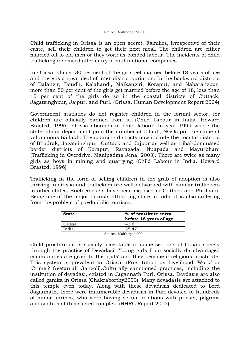Child trafficking in Orissa is an open secret. Families, irrespective of their caste, sell their children to get their next meal. The children are either married off to old men or they work as bonded labour. The incidents of child trafficking increased after entry of multinational companies.

In Orissa, almost 30 per cent of the girls get married before 18 years of age and there is a great deal of inter-district variation. In the backward districts of Balangir, Boudh, Kalahandi, Malkangiri, Koraput, and Nabarangpur, more than 50 per cent of the girls get married before the age of 18, less than 15 per cent of the girls do so in the coastal districts of Cuttack, Jagatsinghpur, Jajpur, and Puri. (Orissa, Human Development Report 2004)

Government statistics do not register children in the formal sector, for children are officially banned from it. (Child Labour in India. Howard Brasted, 1996). Orissa abounds in child labour. In year 1999 where the state labour department puts the number at 2 lakh, NGOs put the same at voluminous 65 lakh. The sourcing districts now include the coastal districts of Bhadrak, Jagatsinghpur, Cuttack and Jajpur as well as tribal-dominated border districts of Koraput, Rayagada, Nuapada and Mayurbhanj (Trafficking in Overdrive, Manipadma Jena, 2003). There are twice as many girls as boys in mining and quarrying (Child Labour in India. Howard Brasted, 1996)

Trafficking in the form of selling children in the grab of adoption is also thriving in Orissa and traffickers are well networked with similar traffickers in other states. Such Rackets have been exposed in Cuttack and Phulbani. Being one of the major tourists attracting state in India it is also suffering from the problem of paedophilic tourism.

| <b>State</b> | % of prostitute entry<br>before 18 years of age |
|--------------|-------------------------------------------------|
| Orissa       | 43.6                                            |
| India        | 35.47                                           |
|              | Source: Mukherjee 2004.                         |

Child prostitution is socially acceptable in some sections of Indian society through the practice of Devadasi. Young girls from socially disadvantaged communities are given to the 'gods' and they become a religious prostitute. This system is prevalent in Orissa. (Prostitution as Livelihood 'Work' or 'Crime'? Geetanjali Gangoli).Culturally sanctioned practices, including the institution of devadasi, existed in Jagannath Puri, Orissa. Devdasis are also called ganika in Orissa (Chakraborthy2000). Many devadasis are attached to this temple even today. Along with these devadasis dedicated to Lord Jagannath, there were innumerable devadasis in Puri devoted to hundreds of minor shrines, who were having sexual relations with priests, pilgrims and sadhus of this sacred complex. (NHRC Report 2005)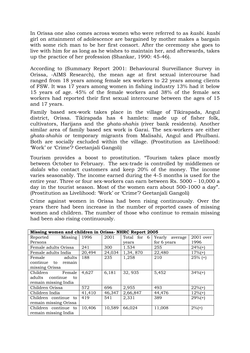In Orissa one also comes across women who were referred to as *kasbi. kasbi*  girl on attainment of adolescence are bargained by mother makes a bargain with some rich man to be her first consort. After the ceremony she goes to live with him for as long as he wishes to maintain her, and afterwards, takes up the practice of her profession (Shankar, 1990: 45-46).

According to (Summary Report 2001: Behavioural Surveillance Survey in Orissa, -AIMS Research), the mean age at first sexual intercourse had ranged from 18 years among female sex workers to 22 years among clients of FSW. It was 17 years among women in fishing industry 13% had it below 15 years of age. 45% of the female workers and 38% of the female sex workers had reported their first sexual intercourse between the ages of 15 and 17 years.

Family based sex-work takes place in the village of Tikirapada, Angul district, Orissa. Tikirapada has 4 hamlets: made up of fisher folk, cultivators, Harijans and the *ghata-shahis* (river bank residents). Another similar area of family based sex work is Garai. The sex-workers are either *ghata-shahis* or temporary migrants from Malisahi, Angul and Phulbani. Both are socially excluded within the village. (Prostitution as Livelihood: 'Work' or 'Crime'? Geetanjali Gangoli)

Tourism provides a boost to prostitution. "Tourism takes place mostly between October to February. The sex-trade is controlled by middlemen or *dalals* who contact customers and keep 20% of the money. The income varies seasonably. The income earned during the 4-5 months is used for the entire year. Three or four sex-workers can earn between Rs. 5000 – 10,000 a day in the tourist season. Most of the women earn about 500-1000 a day". (Prostitution as Livelihood: 'Work' or 'Crime'? Geetanjali Gangoli)

Crime against women in Orissa had been rising continuously. Over the years there had been increase in the number of reported cases of missing women and children. The number of those who continue to remain missing had been also rising continuously.

| Missing women and children in Orissa- NHRC Report 2005 |        |        |             |                |             |  |  |  |  |  |
|--------------------------------------------------------|--------|--------|-------------|----------------|-------------|--|--|--|--|--|
| Missing   $1996$<br>Reported                           |        | 2001   | Total for 6 | Yearly average | $2001$ over |  |  |  |  |  |
| Persons                                                |        |        | years       | for 6 years    | 1996        |  |  |  |  |  |
| Female adults Orissa                                   | 241    | 300    | 1.534       | 255            | $24\%$ (+)  |  |  |  |  |  |
| Female adults India                                    | 20,494 | 24,034 | 1,34,870    | 22,480         | $17% (+)$   |  |  |  |  |  |
| adults<br>Female                                       | 188    | 235    | 1,258       | 210            | $25%$ (+)   |  |  |  |  |  |
| continue to remain                                     |        |        |             |                |             |  |  |  |  |  |
| missing Orissa                                         |        |        |             |                |             |  |  |  |  |  |
| Children<br>Female                                     | 4,627  | 6,181  | 32, 935     | 5,452          | $34\%$ (+)  |  |  |  |  |  |
| adults continue<br>to                                  |        |        |             |                |             |  |  |  |  |  |
| remain missing India                                   |        |        |             |                |             |  |  |  |  |  |
| Children Orissa                                        | 572    | 696    | 2,955       | 493            | $22\%$ (+)  |  |  |  |  |  |
| Children India                                         | 41,410 | 46,347 | 2,66,847    | 44,476         | $12\%$ (+)  |  |  |  |  |  |
| Children continue to                                   | 419    | 541    | 2,331       | 389            | $29%(+)$    |  |  |  |  |  |
| remain missing Orissa                                  |        |        |             |                |             |  |  |  |  |  |
| Children continue to                                   | 10,406 | 10,589 | 66,024      | 11,008         | $2\%$ (+)   |  |  |  |  |  |
| remain missing India                                   |        |        |             |                |             |  |  |  |  |  |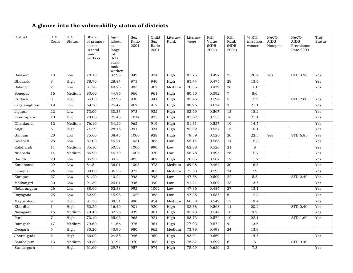### **A glance into the vulnerability status of districts**

| District       | HDI<br>Rank     | HDI<br><b>Status</b> | Share<br>of primary | Agri.<br>labour | Sex<br>Ratio | Child<br>Sex | Literacy<br>Rank | Literacy<br>%age | RHI<br>Value | RHI<br>Rank     | % RTI<br>infection | <b>NACO</b><br><b>AIDS</b> | <b>NACO</b><br><b>AIDS</b>    | Traf.<br>Status |
|----------------|-----------------|----------------------|---------------------|-----------------|--------------|--------------|------------------|------------------|--------------|-----------------|--------------------|----------------------------|-------------------------------|-----------------|
|                |                 |                      | sector              | as              | 2001         | Ratio        |                  |                  | $(HDR-$      | (HDR-           | women              | Hotspots                   | Prevalence                    |                 |
|                |                 |                      | in total<br>main    | %age<br>of      |              | $2001\,$     |                  |                  | 2004)        | 2004            |                    |                            | Rate 2003                     |                 |
|                |                 |                      | workers.            | total           |              |              |                  |                  |              |                 |                    |                            |                               |                 |
|                |                 |                      |                     | rural           |              |              |                  |                  |              |                 |                    |                            |                               |                 |
|                |                 |                      |                     | main<br>worker  |              |              |                  |                  |              |                 |                    |                            |                               |                 |
| Balasore       | 18              | Low                  | 78.18               | 32.98           | 949          | 934          | High             | 81.75            | 0.497        | 25              | 26.4               | Yes                        | STD 3.20                      | Yes             |
| <b>Bhadrak</b> | 8               | High                 | 78.70               | 28.84           | 973          | 940          | High             | 85.44            | 0.475        | 29              | 13.6               |                            |                               | Yes             |
| Balangir       | 21              | Low                  | 81.20               | 40.25           | 983          | 967          | Medium           | 70.36            | 0.479        | 28              | 10                 |                            |                               | Yes             |
| Sonepur        | 16              | Medium               | 83.60               | 44.96           | 966          | 961          | High             | 80.30            | 0.592        | $\overline{7}$  | 8.6                |                            |                               |                 |
| Cuttack        | 3               | High                 | 55.00               | 22.96           | 938          | 941          | High             | 85.46            | 0.594        | $\overline{5}$  | 15.9               |                            | <b>STD 2.80</b>               | Yes             |
| Jagatsinghpur  | 19              | Low                  | 69.70               | 25.42           | 962          | 917          | High             | 88.96            | 0.634        | $\overline{2}$  | 21.1               |                            |                               | Yes             |
| Jajapur        | <b>22</b>       | Low                  | 73.00               | 30.33           | 973          | 932          | High             | 82.69            | 0.567        | 13              | 18.2               |                            |                               | Yes             |
| Kendrapara     | 10              | High                 | 78.00               | 25.45           | 1014         | 935          | High             | 87.62            | 0.553        | 16              | 21.1               |                            |                               | Yes             |
| Dhenkanal      | 12              | Medium               | 76.10               | 34.29           | 962          | 919          | High             | 81.31            | 0.527        | 19              | 14.5               |                            |                               | Yes             |
| Angul          | 6               | High                 | 74.29               | 28.15           | 941          | 934          | High             | 82.02            | 0.557        | 15              | 10.1               |                            |                               | Yes             |
| Ganjam         | 20              | Low                  | 75.60               | 38.43           | 1000         | 928          | High             | 78.39            | 0.526        | $\overline{20}$ | $\overline{22.3}$  | Yes                        | STD 6.85                      | Yes             |
| Gajapati       | 28              | Low                  | 87.00               | 45.21           | 1031         | 963          | Low              | 55.14            | 0.566        | 14              | 15.3               |                            |                               | Yes             |
| Kalahandi      | $\overline{11}$ | Medium               | 85.10               | 50.32           | 1000         | 990          | Low              | 62.88            | 0.526        | 21              | 9                  |                            |                               | Yes             |
| Nuapada        | 14              | Medium               | 86.90               | 44.79           | 1006         | 970          | Low              | 58.78            | 0.495        | 26              | 15.7               |                            |                               | Yes             |
| Baudh          | 23              | Low                  | 85.90               | 39.7            | 985          | 962          | High             | 76.86            | 0.567        | 12              | 11.2               |                            |                               | Yes             |
| Kandhamal      | 29              | Low                  | 84.5                | 36.01           | 1008         | 973          | Medium           | 69.98            | 0.462        | 30              | 16.3               |                            |                               | Yes             |
| Keonjhar       | 24              | Low                  | 80.80               | 36.38           | 977          | 963          | Medium           | 72.53            | 0.595        | $\overline{24}$ | 7.9                |                            |                               | Yes             |
| Koraput        | 27              | Low                  | 81.20               | 40.24           | 998          | 993          | Low              | 47.58            | 0.509        | 22              | 5.5                |                            | STD 2.40                      | Yes             |
| Malkangiri     | 30              | Low                  | 91.30               | 26.01           | 996          | 990          | Low              | 41.21            | 0.502        | 23              | 13.5               |                            |                               | Yes             |
| Nabarangpur    | 26              | Low                  | 88.60               | 52.38           | 992          | 1002         | Low              | 47.36            | 0.485        | 27              | 13.1               |                            |                               | Yes             |
| Rayagada       | $\overline{25}$ | Low                  | 82.90               | 45.98           | 1029         | 983          | Low              | 47.35            | 0.585        | 8               | 12.3               |                            |                               | Yes             |
| Mayurbhanj     | 9               | High                 | 81.70               | 38.51           | 980          | 954          | Medium           | 66.38            | 0.549        | 17              | 19.4               |                            |                               | Yes             |
| Khordha        | $\mathbf{1}$    | High                 | 50.20               | 16.40           | 901          | 920          | High             | 88.38            | 0.568        | 11              | 20.2               |                            | $\overline{\text{STD } 0.40}$ | Yes             |
| Nayagada       | 15              | Medium               | 79.40               | 32.76           | 939          | 901          | High             | 83.23            | 0.544        | 18              | 9.2                |                            |                               | Yes             |
| Puri           | $\overline{7}$  | High                 | 73.10               | 25.06           | 968          | 921          | High             | 88.73            | 0.574        | 10              | 22.1               |                            | STD 1.60                      | Yes             |
| Baragarh       | 17              | Medium               | 79.60               | 41.66           | 976          | 954          | High             | 77.93            | 0.574        | 9               | 13.6               |                            |                               |                 |
| Deogarh        | 5               | High                 | 85.20               | 43.90           | 980          | 962          | Medium           | 73.79            | 0.498        | $\overline{24}$ | 13.9               |                            |                               |                 |
| Jharsuguda     | 2               | High                 | 66.00               | 24.58           | 946          | 950          | High             | 83.04            | 0.669        | $\mathbf{1}$    | 14.5               |                            |                               | Yes             |
| Sambalpur      | 13              | Medium               | 69.30               | 31.94           | 970          | 963          | High             | 78.87            | 0.592        | 6               | 8                  |                            | <b>STD 0.40</b>               |                 |
| Sundergarh     | $\overline{4}$  | High                 | 61.60               | 29.78           | 957          | 974          | High             | 75.69            | 0.629        | 3               | 7.3                |                            |                               | Yes             |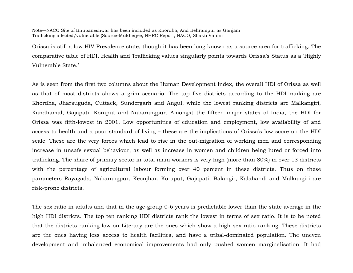#### Note—NACO Site of Bhubaneshwar has been included as Khordha, And Behrampur as Ganjam Trafficking affected/vulnerable (Source-Mukherjee, NHRC Report, NACO, Shakti Vahini

Orissa is still a low HIV Prevalence state, though it has been long known as a source area for trafficking. The comparative table of HDI, Health and Trafficking values singularly points towards Orissa's Status as a 'Highly Vulnerable State.'

As is seen from the first two columns about the Human Development Index, the overall HDI of Orissa as well as that of most districts shows a grim scenario. The top five districts according to the HDI ranking are Khordha, Jharsuguda, Cuttack, Sundergarh and Angul, while the lowest ranking districts are Malkangiri, Kandhamal, Gajapati, Koraput and Nabarangpur. Amongst the fifteen major states of India, the HDI for Orissa was fifth-lowest in 2001. Low opportunities of education and employment, low availability of and access to health and a poor standard of living – these are the implications of Orissa's low score on the HDI scale. These are the very forces which lead to rise in the out-migration of working men and corresponding increase in unsafe sexual behaviour, as well as increase in women and children being lured or forced into trafficking. The share of primary sector in total main workers is very high (more than 80%) in over 13 districts with the percentage of agricultural labour forming over 40 percent in these districts. Thus on these parameters Rayagada, Nabarangpur, Keonjhar, Koraput, Gajapati, Balangir, Kalahandi and Malkangiri are risk-prone districts.

The sex ratio in adults and that in the age-group 0-6 years is predictable lower than the state average in the high HDI districts. The top ten ranking HDI districts rank the lowest in terms of sex ratio. It is to be noted that the districts ranking low on Literacy are the ones which show a high sex ratio ranking. These districts are the ones having less access to health facilities, and have a tribal-dominated population. The uneven development and imbalanced economical improvements had only pushed women marginalisation. It had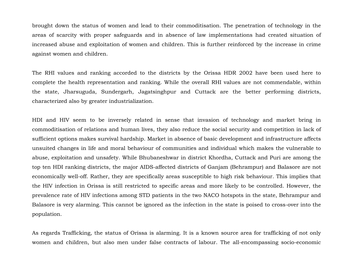brought down the status of women and lead to their commoditisation. The penetration of technology in the areas of scarcity with proper safeguards and in absence of law implementations had created situation of increased abuse and exploitation of women and children. This is further reinforced by the increase in crime against women and children.

The RHI values and ranking accorded to the districts by the Orissa HDR 2002 have been used here to complete the health representation and ranking. While the overall RHI values are not commendable, within the state, Jharsuguda, Sundergarh, Jagatsinghpur and Cuttack are the better performing districts, characterized also by greater industrialization.

HDI and HIV seem to be inversely related in sense that invasion of technology and market bring in commoditisation of relations and human lives, they also reduce the social security and competition in lack of sufficient options makes survival hardship. Market in absence of basic development and infrastructure affects unsuited changes in life and moral behaviour of communities and individual which makes the vulnerable to abuse, exploitation and unsafety. While Bhubaneshwar in district Khordha, Cuttack and Puri are among the top ten HDI ranking districts, the major AIDS-affected districts of Ganjam (Behrampur) and Balasore are not economically well-off. Rather, they are specifically areas susceptible to high risk behaviour. This implies that the HIV infection in Orissa is still restricted to specific areas and more likely to be controlled. However, the prevalence rate of HIV infections among STD patients in the two NACO hotspots in the state, Behrampur and Balasore is very alarming. This cannot be ignored as the infection in the state is poised to cross-over into the population.

As regards Trafficking, the status of Orissa is alarming. It is a known source area for trafficking of not only women and children, but also men under false contracts of labour. The all-encompassing socio-economic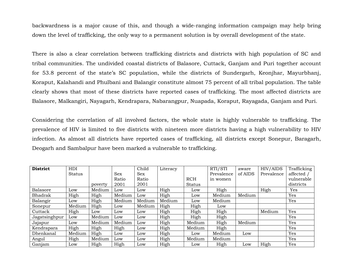backwardness is a major cause of this, and though a wide-ranging information campaign may help bring down the level of trafficking, the only way to a permanent solution is by overall development of the state.

There is also a clear correlation between trafficking districts and districts with high population of SC and tribal communities. The undivided coastal districts of Balasore, Cuttack, Ganjam and Puri together account for 53.8 percent of the state's SC population, while the districts of Sundergarh, Keonjhar, Mayurbhanj, Koraput, Kalahandi and Phulbani and Balangir constitute almost 75 percent of all tribal population. The table clearly shows that most of these districts have reported cases of trafficking. The most affected districts are Balasore, Malkangiri, Nayagarh, Kendrapara, Nabarangpur, Nuapada, Koraput, Rayagada, Ganjam and Puri.

Considering the correlation of all involved factors, the whole state is highly vulnerable to trafficking. The prevalence of HIV is limited to five districts with nineteen more districts having a high vulnerability to HIV infection. As almost all districts have reported cases of trafficking, all districts except Sonepur, Baragarh, Deogarh and Sambalpur have been marked a vulnerable to trafficking.

| <b>District</b> | HDI    |         |        | Child  | Literacy |               | RTI/STI    | aware   | HIV/AIDS   | Trafficking |
|-----------------|--------|---------|--------|--------|----------|---------------|------------|---------|------------|-------------|
|                 | Status |         | Sex    | Sex    |          |               | Prevalence | of AIDS | Prevalence | affected /  |
|                 |        |         | Ratio  | Ratio  |          | <b>RCH</b>    | in women   |         |            | vulnerable  |
|                 |        | poverty | 2001   | 2001   |          | <b>Status</b> |            |         |            | districts   |
| <b>Balasore</b> | Low    | Medium  | Low    | Low    | High     | Low           | High       |         | High       | Yes         |
| Bhadrak         | High   | High    | Medium | Low    | High     | Low           | Medium     | Medium  |            | Yes         |
| Balangir        | Low    | High    | Medium | Medium | Medium   | Low           | Medium     |         |            | Yes         |
| Sonepur         | Medium | High    | Low    | Medium | High     | High          | Low        |         |            |             |
| Cuttack         | High   | Low     | Low    | Low    | High     | High          | High       |         | Medium     | Yes         |
| Jagatsinghpur   | Low    | Medium  | Low    | Low    | High     | High          | High       |         |            | Yes         |
| Jajapur         | Low    | Medium  | Medium | Low    | High     | Medium        | High       | Medium  |            | Yes         |
| Kendrapara      | High   | High    | High   | Low    | High     | Medium        | High       |         |            | Yes         |
| Dhenkanal       | Medium | High    | Low    | Low    | High     | Low           | Medium     | Low     |            | Yes         |
| Angul           | High   | Medium  | Low    | Low    | High     | Medium        | Medium     |         |            | Yes         |
| Ganjam          | Low    | High    | High   | Low    | High     | Low           | High       | Low     | High       | Yes         |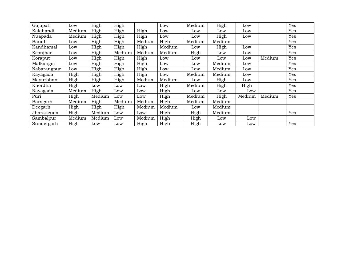| Gajapati    | Low    | High   | High   |        | Low    | Medium | High   | Low    |        | Yes |
|-------------|--------|--------|--------|--------|--------|--------|--------|--------|--------|-----|
| Kalahandi   | Medium | High   | High   | High   | Low    | Low    | Low    | Low    |        | Yes |
| Nuapada     | Medium | High   | High   | High   | Low    | Low    | High   | Low    |        | Yes |
| Baudh       | Low    | High   | High   | Medium | High   | Medium | Medium |        |        | Yes |
| Kandhamal   | Low    | High   | High   | High   | Medium | Low    | High   | Low    |        | Yes |
| Keonjhar    | Low    | High   | Medium | Medium | Medium | High   | Low    | Low    |        | Yes |
| Koraput     | Low    | High   | High   | High   | Low    | Low    | Low    | Low    | Medium | Yes |
| Malkangiri  | Low    | High   | High   | High   | Low    | Low    | Medium | Low    |        | Yes |
| Nabarangpur | Low    | High   | High   | High   | Low    | Low    | Medium | Low    |        | Yes |
| Rayagada    | High   | High   | High   | High   | Low    | Medium | Medium | Low    |        | Yes |
| Mayurbhanj  | High   | High   | High   | Medium | Medium | Low    | High   | Low    |        | Yes |
| Khordha     | High   | Low    | Low    | Low    | High   | Medium | High   | High   |        | Yes |
| Nayagada    | Medium | High   | Low    | Low    | High   | Low    | Low    | Low    |        | Yes |
| Puri        | High   | Medium | Low    | Low    | High   | Medium | High   | Medium | Medium | Yes |
| Baragarh    | Medium | High   | Medium | Medium | High   | Medium | Medium |        |        |     |
| Deogarh     | High   | High   | High   | Medium | Medium | Low    | Medium |        |        |     |
| Jharsuguda  | High   | Medium | Low    | Low    | High   | High   | Medium |        |        | Yes |
| Sambalpur   | Medium | Medium | Low    | Medium | High   | High   | Low    | Low    |        |     |
| Sundergarh  | High   | Low    | Low    | High   | High   | High   | Low    | Low    |        | Yes |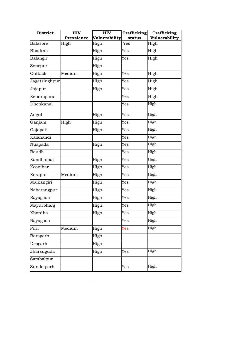| <b>District</b>  | <b>HIV</b><br>Prevalence | <b>HIV</b><br>Vulnerability | <b>Trafficking</b><br>status | <b>Trafficking</b><br>Vulnerability |
|------------------|--------------------------|-----------------------------|------------------------------|-------------------------------------|
| <b>Balasore</b>  | High                     | High                        | Yes                          | High                                |
| <b>Bhadrak</b>   |                          | High                        | Yes                          | High                                |
| Balangir         |                          | High                        | Yes                          | High                                |
| Sonepur          |                          | High                        |                              |                                     |
| Cuttack          | Medium                   | High                        | Yes                          | High                                |
| Jagatsinghpur    |                          | High                        | $\rm \overline{Y}es$         | High                                |
| Jajapur          |                          | High                        | Yes                          | High                                |
| Kendrapara       |                          |                             | Yes                          | High                                |
| <b>Dhenkanal</b> |                          |                             | Yes                          | High                                |
| Angul            |                          | High                        | Yes                          | High                                |
| Ganjam           | High                     | High                        | Yes                          | High                                |
| Gajapati         |                          | High                        | Yes                          | High                                |
| Kalahandi        |                          |                             | Yes                          | High                                |
| Nuapada          |                          | High                        | Yes                          | High                                |
| Baudh            |                          |                             | Yes                          | High                                |
| Kandhamal        |                          | High                        | Yes                          | High                                |
| Keonjhar         |                          | High                        | Yes                          | High                                |
| Koraput          | Medium                   | High                        | Yes                          | High                                |
| Malkangiri       |                          | High                        | Yes                          | High                                |
| Nabarangpur      |                          | High                        | Yes                          | High                                |
| Rayagada         |                          | High                        | Yes                          | High                                |
| Mayurbhanj       |                          | High                        | Yes                          | High                                |
| Khordha          |                          | High                        | Yes                          | High                                |
| Nayagada         |                          |                             | Yes                          | High                                |
| Puri             | Medium                   | High                        | Yes                          | High                                |
| Baragarh         |                          | High                        |                              |                                     |
| Deogarh          |                          | High                        |                              |                                     |
| Jharsuguda       |                          | High                        | Yes                          | High                                |
| Sambalpur        |                          |                             |                              |                                     |
| Sundergarh       |                          |                             | Yes                          | High                                |

1